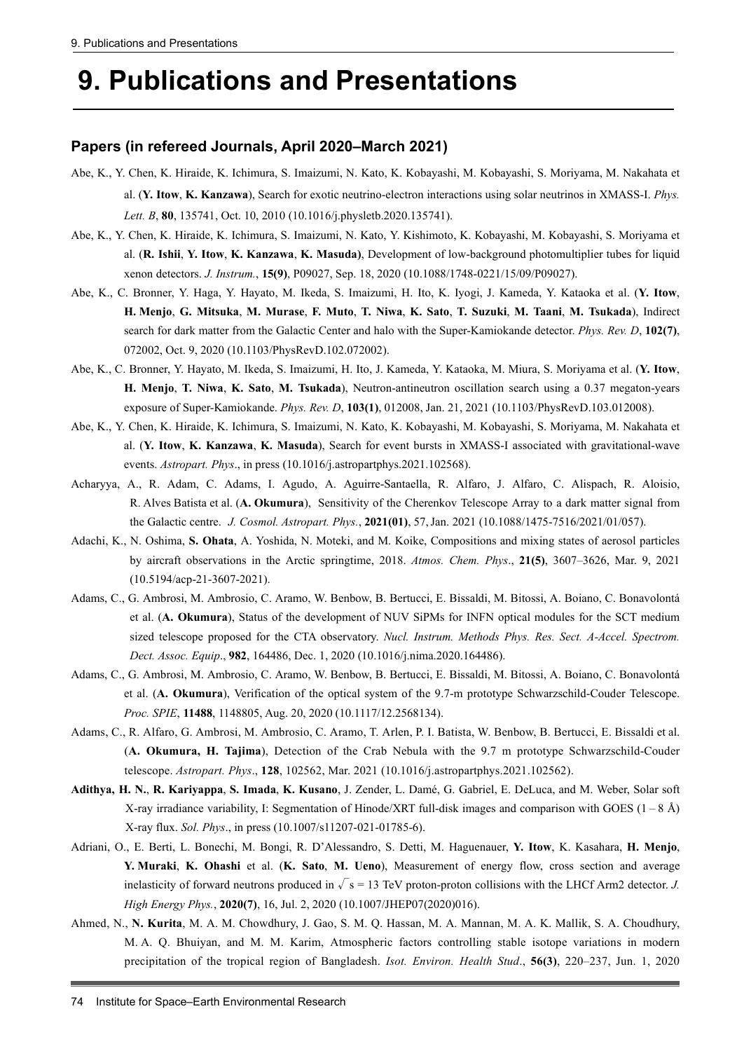# **9. Publications and Presentations**

#### **Papers (in refereed Journals, April 2020–March 2021)**

- Abe, K., Y. Chen, K. Hiraide, K. Ichimura, S. Imaizumi, N. Kato, K. Kobayashi, M. Kobayashi, S. Moriyama, M. Nakahata et al. (**Y. Itow**, **K. Kanzawa**), Search for exotic neutrino-electron interactions using solar neutrinos in XMASS-I. *Phys. Lett. B*, **80**, 135741, Oct. 10, 2010 (10.1016/j.physletb.2020.135741).
- Abe, K., Y. Chen, K. Hiraide, K. Ichimura, S. Imaizumi, N. Kato, Y. Kishimoto, K. Kobayashi, M. Kobayashi, S. Moriyama et al. (**R. Ishii**, **Y. Itow**, **K. Kanzawa**, **K. Masuda)**, Development of low-background photomultiplier tubes for liquid xenon detectors. *J. Instrum.*, **15(9)**, P09027, Sep. 18, 2020 (10.1088/1748-0221/15/09/P09027).
- Abe, K., C. Bronner, Y. Haga, Y. Hayato, M. Ikeda, S. Imaizumi, H. Ito, K. Iyogi, J. Kameda, Y. Kataoka et al. (**Y. Itow**, **H. Menjo**, **G. Mitsuka**, **M. Murase**, **F. Muto**, **T. Niwa**, **K. Sato**, **T. Suzuki**, **M. Taani**, **M. Tsukada**), Indirect search for dark matter from the Galactic Center and halo with the Super-Kamiokande detector. *Phys. Rev. D*, **102(7)**, 072002, Oct. 9, 2020 (10.1103/PhysRevD.102.072002).
- Abe, K., C. Bronner, Y. Hayato, M. Ikeda, S. Imaizumi, H. Ito, J. Kameda, Y. Kataoka, M. Miura, S. Moriyama et al. (**Y. Itow**, **H. Menjo**, **T. Niwa**, **K. Sato**, **M. Tsukada**), Neutron-antineutron oscillation search using a 0.37 megaton-years exposure of Super-Kamiokande. *Phys. Rev. D*, **103(1)**, 012008, Jan. 21, 2021 (10.1103/PhysRevD.103.012008).
- Abe, K., Y. Chen, K. Hiraide, K. Ichimura, S. Imaizumi, N. Kato, K. Kobayashi, M. Kobayashi, S. Moriyama, M. Nakahata et al. (**Y. Itow**, **K. Kanzawa**, **K. Masuda**), Search for event bursts in XMASS-I associated with gravitational-wave events. *Astropart. Phys*., in press (10.1016/j.astropartphys.2021.102568).
- Acharyya, A., R. Adam, C. Adams, I. Agudo, A. Aguirre-Santaella, R. Alfaro, J. Alfaro, C. Alispach, R. Aloisio, R. Alves Batista et al. (**A. Okumura**), Sensitivity of the Cherenkov Telescope Array to a dark matter signal from the Galactic centre. *J. Cosmol. Astropart. Phys.*, **2021(01)**, 57,Jan. 2021 (10.1088/1475-7516/2021/01/057).
- Adachi, K., N. Oshima, **S. Ohata**, A. Yoshida, N. Moteki, and M. Koike, Compositions and mixing states of aerosol particles by aircraft observations in the Arctic springtime, 2018. *Atmos. Chem. Phys*., **21(5)**, 3607–3626, Mar. 9, 2021 (10.5194/acp-21-3607-2021).
- Adams, C., G. Ambrosi, M. Ambrosio, C. Aramo, W. Benbow, B. Bertucci, E. Bissaldi, M. Bitossi, A. Boiano, C. Bonavolontá et al. (**A. Okumura**), Status of the development of NUV SiPMs for INFN optical modules for the SCT medium sized telescope proposed for the CTA observatory. *Nucl. Instrum. Methods Phys. Res. Sect. A-Accel. Spectrom. Dect. Assoc. Equip*., **982**, 164486, Dec. 1, 2020 (10.1016/j.nima.2020.164486).
- Adams, C., G. Ambrosi, M. Ambrosio, C. Aramo, W. Benbow, B. Bertucci, E. Bissaldi, M. Bitossi, A. Boiano, C. Bonavolontá et al. (**A. Okumura**), Verification of the optical system of the 9.7-m prototype Schwarzschild-Couder Telescope. *Proc. SPIE*, **11488**, 1148805, Aug. 20, 2020 (10.1117/12.2568134).
- Adams, C., R. Alfaro, G. Ambrosi, M. Ambrosio, C. Aramo, T. Arlen, P. I. Batista, W. Benbow, B. Bertucci, E. Bissaldi et al. (**A. Okumura, H. Tajima**), Detection of the Crab Nebula with the 9.7 m prototype Schwarzschild-Couder telescope. *Astropart. Phys*., **128**, 102562, Mar. 2021 (10.1016/j.astropartphys.2021.102562).
- **Adithya, H. N.**, **R. Kariyappa**, **S. Imada**, **K. Kusano**, J. Zender, L. Damé, G. Gabriel, E. DeLuca, and M. Weber, Solar soft X-ray irradiance variability, I: Segmentation of Hinode/XRT full-disk images and comparison with GOES (1 – 8 Å) X-ray flux. *Sol. Phys*., in press (10.1007/s11207-021-01785-6).
- Adriani, O., E. Berti, L. Bonechi, M. Bongi, R. D'Alessandro, S. Detti, M. Haguenauer, **Y. Itow**, K. Kasahara, **H. Menjo**, **Y. Muraki**, **K. Ohashi** et al. (**K. Sato**, **M. Ueno**), Measurement of energy flow, cross section and average inelasticity of forward neutrons produced in  $\sqrt{s} = 13$  TeV proton-proton collisions with the LHCf Arm2 detector. *J. High Energy Phys.*, **2020(7)**, 16, Jul. 2, 2020 (10.1007/JHEP07(2020)016).
- Ahmed, N., **N. Kurita**, M. A. M. Chowdhury, J. Gao, S. M. Q. Hassan, M. A. Mannan, M. A. K. Mallik, S. A. Choudhury, M. A. Q. Bhuiyan, and M. M. Karim, Atmospheric factors controlling stable isotope variations in modern precipitation of the tropical region of Bangladesh. *Isot. Environ. Health Stud*., **56(3)**, 220–237, Jun. 1, 2020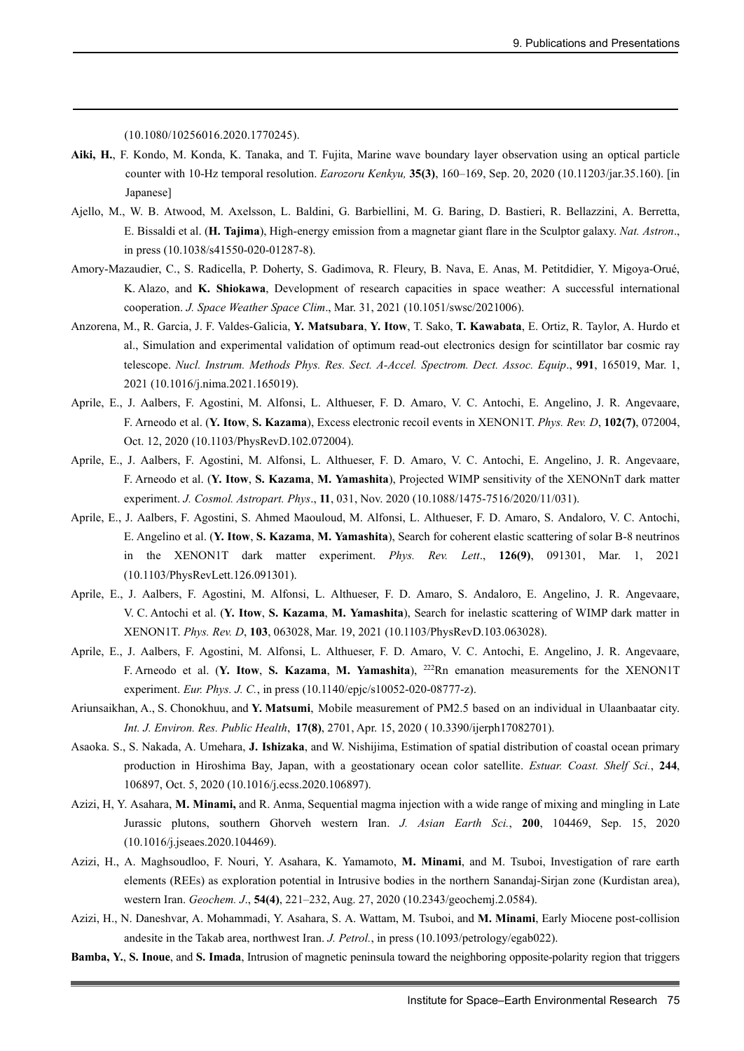(10.1080/10256016.2020.1770245).

- **Aiki, H.**, F. Kondo, M. Konda, K. Tanaka, and T. Fujita, Marine wave boundary layer observation using an optical particle counter with 10-Hz temporal resolution. *Earozoru Kenkyu,* **35(3)**, 160–169, Sep. 20, 2020 (10.11203/jar.35.160). [in Japanese]
- Ajello, M., W. B. Atwood, M. Axelsson, L. Baldini, G. Barbiellini, M. G. Baring, D. Bastieri, R. Bellazzini, A. Berretta, E. Bissaldi et al. (**H. Tajima**), High-energy emission from a magnetar giant flare in the Sculptor galaxy. *Nat. Astron*., in press (10.1038/s41550-020-01287-8).
- Amory-Mazaudier, C., S. Radicella, P. Doherty, S. Gadimova, R. Fleury, B. Nava, E. Anas, M. Petitdidier, Y. Migoya-Orué, K. Alazo, and **K. Shiokawa**, Development of research capacities in space weather: A successful international cooperation. *J. Space Weather Space Clim*., Mar. 31, 2021 (10.1051/swsc/2021006).
- Anzorena, M., R. Garcia, J. F. Valdes-Galicia, **Y. Matsubara**, **Y. Itow**, T. Sako, **T. Kawabata**, E. Ortiz, R. Taylor, A. Hurdo et al., Simulation and experimental validation of optimum read-out electronics design for scintillator bar cosmic ray telescope. *Nucl. Instrum. Methods Phys. Res. Sect. A-Accel. Spectrom. Dect. Assoc. Equip*., **991**, 165019, Mar. 1, 2021 (10.1016/j.nima.2021.165019).
- Aprile, E., J. Aalbers, F. Agostini, M. Alfonsi, L. Althueser, F. D. Amaro, V. C. Antochi, E. Angelino, J. R. Angevaare, F. Arneodo et al. (**Y. Itow**, **S. Kazama**), Excess electronic recoil events in XENON1T. *Phys. Rev. D*, **102(7)**, 072004, Oct. 12, 2020 (10.1103/PhysRevD.102.072004).
- Aprile, E., J. Aalbers, F. Agostini, M. Alfonsi, L. Althueser, F. D. Amaro, V. C. Antochi, E. Angelino, J. R. Angevaare, F. Arneodo et al. (**Y. Itow**, **S. Kazama**, **M. Yamashita**), Projected WIMP sensitivity of the XENONnT dark matter experiment. *J. Cosmol. Astropart. Phys*., **11**, 031, Nov. 2020 (10.1088/1475-7516/2020/11/031).
- Aprile, E., J. Aalbers, F. Agostini, S. Ahmed Maouloud, M. Alfonsi, L. Althueser, F. D. Amaro, S. Andaloro, V. C. Antochi, E. Angelino et al. (**Y. Itow**, **S. Kazama**, **M. Yamashita**), Search for coherent elastic scattering of solar B-8 neutrinos in the XENON1T dark matter experiment. *Phys. Rev. Lett*., **126(9)**, 091301, Mar. 1, 2021 (10.1103/PhysRevLett.126.091301).
- Aprile, E., J. Aalbers, F. Agostini, M. Alfonsi, L. Althueser, F. D. Amaro, S. Andaloro, E. Angelino, J. R. Angevaare, V. C. Antochi et al. (**Y. Itow**, **S. Kazama**, **M. Yamashita**), Search for inelastic scattering of WIMP dark matter in XENON1T. *Phys. Rev. D*, **103**, 063028, Mar. 19, 2021 (10.1103/PhysRevD.103.063028).
- Aprile, E., J. Aalbers, F. Agostini, M. Alfonsi, L. Althueser, F. D. Amaro, V. C. Antochi, E. Angelino, J. R. Angevaare, F. Arneodo et al. (**Y. Itow**, **S. Kazama**, **M. Yamashita**), 222Rn emanation measurements for the XENON1T experiment. *Eur. Phys. J. C.*, in press (10.1140/epjc/s10052-020-08777-z).
- Ariunsaikhan, A., S. Chonokhuu, and **Y. Matsumi**, Mobile measurement of PM2.5 based on an individual in Ulaanbaatar city. *Int. J. Environ. Res. Public Health*, **17(8)**, 2701, Apr. 15, 2020 ( 10.3390/ijerph17082701).
- Asaoka. S., S. Nakada, A. Umehara, **J. Ishizaka**, and W. Nishijima, Estimation of spatial distribution of coastal ocean primary production in Hiroshima Bay, Japan, with a geostationary ocean color satellite. *Estuar. Coast. Shelf Sci.*, **244**, 106897, Oct. 5, 2020 (10.1016/j.ecss.2020.106897).
- Azizi, H, Y. Asahara, **M. Minami,** and R. Anma, Sequential magma injection with a wide range of mixing and mingling in Late Jurassic plutons, southern Ghorveh western Iran. *J. Asian Earth Sci.*, **200**, 104469, Sep. 15, 2020 (10.1016/j.jseaes.2020.104469).
- Azizi, H., A. Maghsoudloo, F. Nouri, Y. Asahara, K. Yamamoto, **M. Minami**, and M. Tsuboi, Investigation of rare earth elements (REEs) as exploration potential in Intrusive bodies in the northern Sanandaj-Sirjan zone (Kurdistan area), western Iran. *Geochem. J*., **54(4)**, 221–232, Aug. 27, 2020 (10.2343/geochemj.2.0584).
- Azizi, H., N. Daneshvar, A. Mohammadi, Y. Asahara, S. A. Wattam, M. Tsuboi, and **M. Minami**, Early Miocene post-collision andesite in the Takab area, northwest Iran. *J. Petrol.*, in press (10.1093/petrology/egab022).
- **Bamba, Y.**, **S. Inoue**, and **S. Imada**, Intrusion of magnetic peninsula toward the neighboring opposite-polarity region that triggers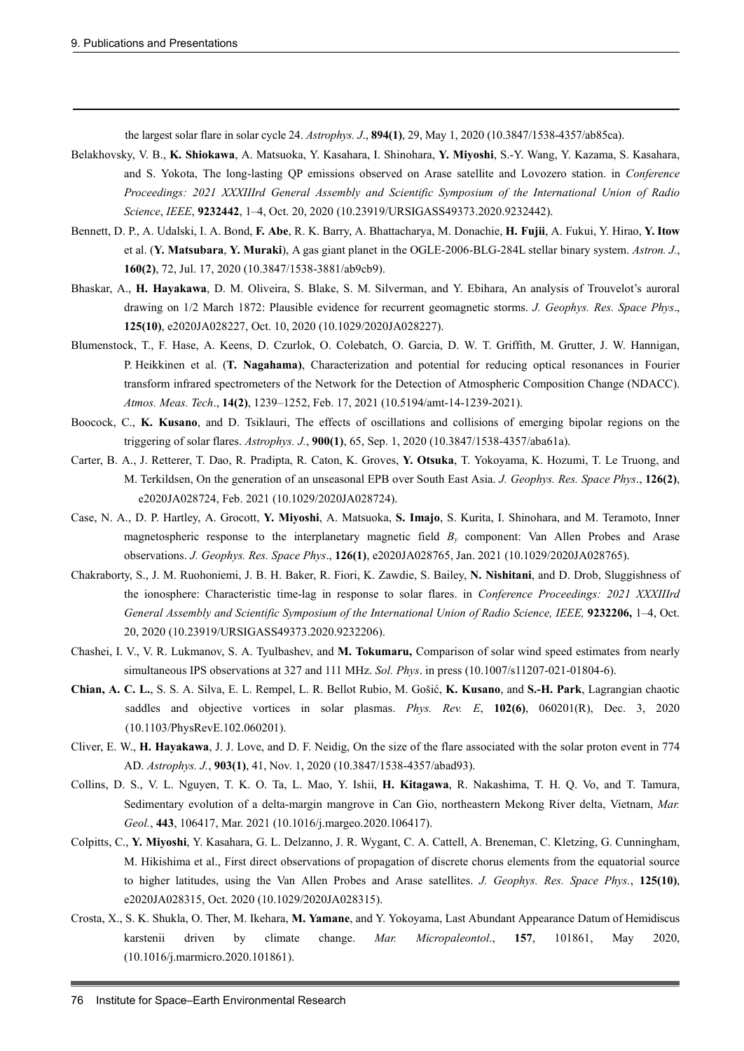the largest solar flare in solar cycle 24. *Astrophys. J*., **894(1)**, 29, May 1, 2020 (10.3847/1538-4357/ab85ca).

- Belakhovsky, V. B., **K. Shiokawa**, A. Matsuoka, Y. Kasahara, I. Shinohara, **Y. Miyoshi**, S.-Y. Wang, Y. Kazama, S. Kasahara, and S. Yokota, The long-lasting QP emissions observed on Arase satellite and Lovozero station. in *Conference Proceedings: 2021 XXXIIIrd General Assembly and Scientific Symposium of the International Union of Radio Science*, *IEEE*, **9232442**, 1–4, Oct. 20, 2020 (10.23919/URSIGASS49373.2020.9232442).
- Bennett, D. P., A. Udalski, I. A. Bond, **F. Abe**, R. K. Barry, A. Bhattacharya, M. Donachie, **H. Fujii**, A. Fukui, Y. Hirao, **Y. Itow** et al. (**Y. Matsubara**, **Y. Muraki**), A gas giant planet in the OGLE-2006-BLG-284L stellar binary system. *Astron. J.*, **160(2)**, 72, Jul. 17, 2020 (10.3847/1538-3881/ab9cb9).
- Bhaskar, A., **H. Hayakawa**, D. M. Oliveira, S. Blake, S. M. Silverman, and Y. Ebihara, An analysis of Trouvelot's auroral drawing on 1/2 March 1872: Plausible evidence for recurrent geomagnetic storms. *J. Geophys. Res. Space Phys*., **125(10)**, e2020JA028227, Oct. 10, 2020 (10.1029/2020JA028227).
- Blumenstock, T., F. Hase, A. Keens, D. Czurlok, O. Colebatch, O. Garcia, D. W. T. Griffith, M. Grutter, J. W. Hannigan, P. Heikkinen et al. (**T. Nagahama)**, Characterization and potential for reducing optical resonances in Fourier transform infrared spectrometers of the Network for the Detection of Atmospheric Composition Change (NDACC). *Atmos. Meas. Tech*., **14(2)**, 1239–1252, Feb. 17, 2021 (10.5194/amt-14-1239-2021).
- Boocock, C., **K. Kusano**, and D. Tsiklauri, The effects of oscillations and collisions of emerging bipolar regions on the triggering of solar flares. *Astrophys. J.*, **900(1)**, 65, Sep. 1, 2020 (10.3847/1538-4357/aba61a).
- Carter, B. A., J. Retterer, T. Dao, R. Pradipta, R. Caton, K. Groves, **Y. Otsuka**, T. Yokoyama, K. Hozumi, T. Le Truong, and M. Terkildsen, On the generation of an unseasonal EPB over South East Asia. *J. Geophys. Res. Space Phys*., **126(2)**, e2020JA028724, Feb. 2021 (10.1029/2020JA028724).
- Case, N. A., D. P. Hartley, A. Grocott, **Y. Miyoshi**, A. Matsuoka, **S. Imajo**, S. Kurita, I. Shinohara, and M. Teramoto, Inner magnetospheric response to the interplanetary magnetic field *By* component: Van Allen Probes and Arase observations. *J. Geophys. Res. Space Phys*., **126(1)**, e2020JA028765, Jan. 2021 (10.1029/2020JA028765).
- Chakraborty, S., J. M. Ruohoniemi, J. B. H. Baker, R. Fiori, K. Zawdie, S. Bailey, **N. Nishitani**, and D. Drob, Sluggishness of the ionosphere: Characteristic time-lag in response to solar flares. in *Conference Proceedings: 2021 XXXIIIrd General Assembly and Scientific Symposium of the International Union of Radio Science, IEEE,* **9232206,** 1–4, Oct. 20, 2020 (10.23919/URSIGASS49373.2020.9232206).
- Chashei, I. V., V. R. Lukmanov, S. A. Tyulbashev, and **M. Tokumaru,** Comparison of solar wind speed estimates from nearly simultaneous IPS observations at 327 and 111 MHz. *Sol. Phys*. in press (10.1007/s11207-021-01804-6).
- **Chian, A. C. L.**, S. S. A. Silva, E. L. Rempel, L. R. Bellot Rubio, M. Gošić, **K. Kusano**, and **S.-H. Park**, Lagrangian chaotic saddles and objective vortices in solar plasmas. *Phys. Rev. E*, **102(6)**, 060201(R), Dec. 3, 2020 (10.1103/PhysRevE.102.060201).
- Cliver, E. W., **H. Hayakawa**, J. J. Love, and D. F. Neidig, On the size of the flare associated with the solar proton event in 774 AD. *Astrophys. J.*, **903(1)**, 41, Nov. 1, 2020 (10.3847/1538-4357/abad93).
- Collins, D. S., V. L. Nguyen, T. K. O. Ta, L. Mao, Y. Ishii, **H. Kitagawa**, R. Nakashima, T. H. Q. Vo, and T. Tamura, Sedimentary evolution of a delta-margin mangrove in Can Gio, northeastern Mekong River delta, Vietnam, *Mar. Geol.*, **443**, 106417, Mar. 2021 (10.1016/j.margeo.2020.106417).
- Colpitts, C., **Y. Miyoshi**, Y. Kasahara, G. L. Delzanno, J. R. Wygant, C. A. Cattell, A. Breneman, C. Kletzing, G. Cunningham, M. Hikishima et al., First direct observations of propagation of discrete chorus elements from the equatorial source to higher latitudes, using the Van Allen Probes and Arase satellites. *J. Geophys. Res. Space Phys.*, **125(10)**, e2020JA028315, Oct. 2020 (10.1029/2020JA028315).
- Crosta, X., S. K. Shukla, O. Ther, M. Ikehara, **M. Yamane**, and Y. Yokoyama, Last Abundant Appearance Datum of Hemidiscus karstenii driven by climate change. *Mar. Micropaleontol*., **157**, 101861, May 2020, (10.1016/j.marmicro.2020.101861).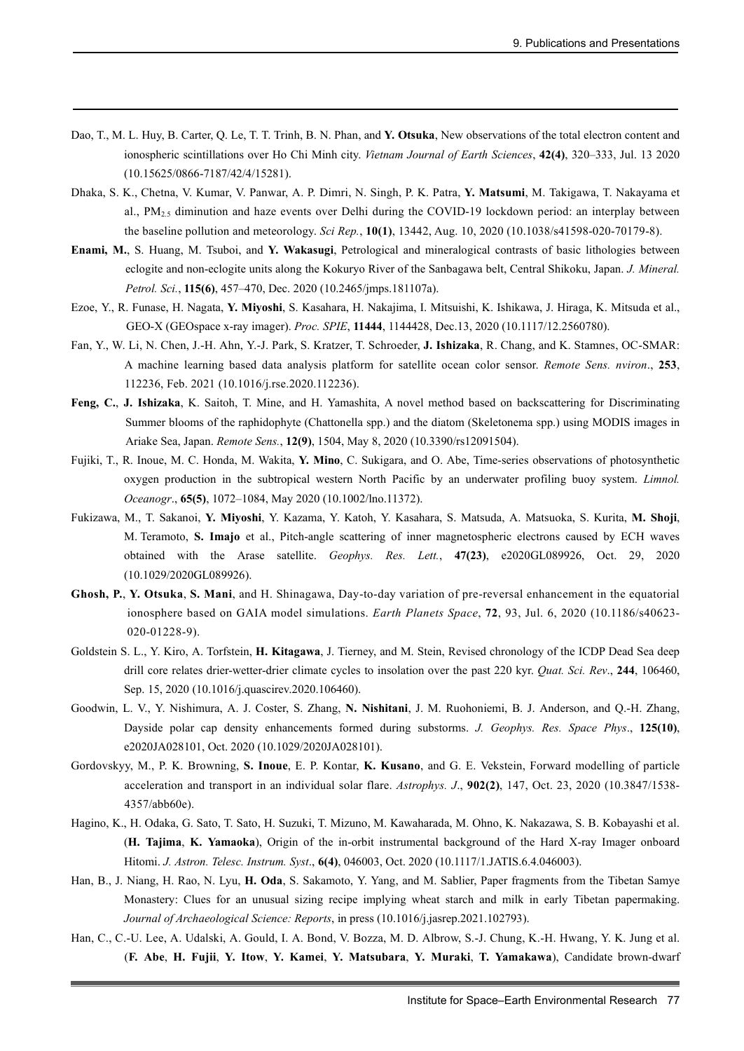- Dao, T., M. L. Huy, B. Carter, Q. Le, T. T. Trinh, B. N. Phan, and **Y. Otsuka**, New observations of the total electron content and ionospheric scintillations over Ho Chi Minh city. *Vietnam Journal of Earth Sciences*, **42(4)**, 320–333, Jul. 13 2020 (10.15625/0866-7187/42/4/15281).
- Dhaka, S. K., Chetna, V. Kumar, V. Panwar, A. P. Dimri, N. Singh, P. K. Patra, **Y. Matsumi**, M. Takigawa, T. Nakayama et al., PM2.5 diminution and haze events over Delhi during the COVID-19 lockdown period: an interplay between the baseline pollution and meteorology. *Sci Rep.*, **10(1)**, 13442, Aug. 10, 2020 (10.1038/s41598-020-70179-8).
- **Enami, M.**, S. Huang, M. Tsuboi, and **Y. Wakasugi**, Petrological and mineralogical contrasts of basic lithologies between eclogite and non-eclogite units along the Kokuryo River of the Sanbagawa belt, Central Shikoku, Japan. *J. Mineral. Petrol. Sci.*, **115(6)**, 457–470, Dec. 2020 (10.2465/jmps.181107a).
- Ezoe, Y., R. Funase, H. Nagata, **Y. Miyoshi**, S. Kasahara, H. Nakajima, I. Mitsuishi, K. Ishikawa, J. Hiraga, K. Mitsuda et al., GEO-X (GEOspace x-ray imager). *Proc. SPIE*, **11444**, 1144428, Dec.13, 2020 (10.1117/12.2560780).
- Fan, Y., W. Li, N. Chen, J.-H. Ahn, Y.-J. Park, S. Kratzer, T. Schroeder, **J. Ishizaka**, R. Chang, and K. Stamnes, OC-SMAR: A machine learning based data analysis platform for satellite ocean color sensor. *Remote Sens. nviron*., **253**, 112236, Feb. 2021 (10.1016/j.rse.2020.112236).
- **Feng, C.**, **J. Ishizaka**, K. Saitoh, T. Mine, and H. Yamashita, A novel method based on backscattering for Discriminating Summer blooms of the raphidophyte (Chattonella spp.) and the diatom (Skeletonema spp.) using MODIS images in Ariake Sea, Japan. *Remote Sens.*, **12(9)**, 1504, May 8, 2020 (10.3390/rs12091504).
- Fujiki, T., R. Inoue, M. C. Honda, M. Wakita, **Y. Mino**, C. Sukigara, and O. Abe, Time-series observations of photosynthetic oxygen production in the subtropical western North Pacific by an underwater profiling buoy system. *Limnol. Oceanogr*., **65(5)**, 1072–1084, May 2020 (10.1002/lno.11372).
- Fukizawa, M., T. Sakanoi, **Y. Miyoshi**, Y. Kazama, Y. Katoh, Y. Kasahara, S. Matsuda, A. Matsuoka, S. Kurita, **M. Shoji**, M. Teramoto, **S. Imajo** et al., Pitch-angle scattering of inner magnetospheric electrons caused by ECH waves obtained with the Arase satellite. *Geophys. Res. Lett.*, **47(23)**, e2020GL089926, Oct. 29, 2020 (10.1029/2020GL089926).
- **Ghosh, P.**, **Y. Otsuka**, **S. Mani**, and H. Shinagawa, Day-to-day variation of pre-reversal enhancement in the equatorial ionosphere based on GAIA model simulations. *Earth Planets Space*, **72**, 93, Jul. 6, 2020 (10.1186/s40623- 020-01228-9).
- Goldstein S. L., Y. Kiro, A. Torfstein, **H. Kitagawa**, J. Tierney, and M. Stein, Revised chronology of the ICDP Dead Sea deep drill core relates drier-wetter-drier climate cycles to insolation over the past 220 kyr. *Quat. Sci. Rev*., **244**, 106460, Sep. 15, 2020 (10.1016/j.quascirev.2020.106460).
- Goodwin, L. V., Y. Nishimura, A. J. Coster, S. Zhang, **N. Nishitani**, J. M. Ruohoniemi, B. J. Anderson, and Q.-H. Zhang, Dayside polar cap density enhancements formed during substorms. *J. Geophys. Res. Space Phys*., **125(10)**, e2020JA028101, Oct. 2020 (10.1029/2020JA028101).
- Gordovskyy, M., P. K. Browning, **S. Inoue**, E. P. Kontar, **K. Kusano**, and G. E. Vekstein, Forward modelling of particle acceleration and transport in an individual solar flare. *Astrophys. J*., **902(2)**, 147, Oct. 23, 2020 (10.3847/1538- 4357/abb60e).
- Hagino, K., H. Odaka, G. Sato, T. Sato, H. Suzuki, T. Mizuno, M. Kawaharada, M. Ohno, K. Nakazawa, S. B. Kobayashi et al. (**H. Tajima**, **K. Yamaoka**), Origin of the in-orbit instrumental background of the Hard X-ray Imager onboard Hitomi. *J. Astron. Telesc. Instrum. Syst*., **6(4)**, 046003, Oct. 2020 (10.1117/1.JATIS.6.4.046003).
- Han, B., J. Niang, H. Rao, N. Lyu, **H. Oda**, S. Sakamoto, Y. Yang, and M. Sablier, Paper fragments from the Tibetan Samye Monastery: Clues for an unusual sizing recipe implying wheat starch and milk in early Tibetan papermaking. *Journal of Archaeological Science: Reports*, in press (10.1016/j.jasrep.2021.102793).
- Han, C., C.-U. Lee, A. Udalski, A. Gould, I. A. Bond, V. Bozza, M. D. Albrow, S.-J. Chung, K.-H. Hwang, Y. K. Jung et al. (**F. Abe**, **H. Fujii**, **Y. Itow**, **Y. Kamei**, **Y. Matsubara**, **Y. Muraki**, **T. Yamakawa**), Candidate brown-dwarf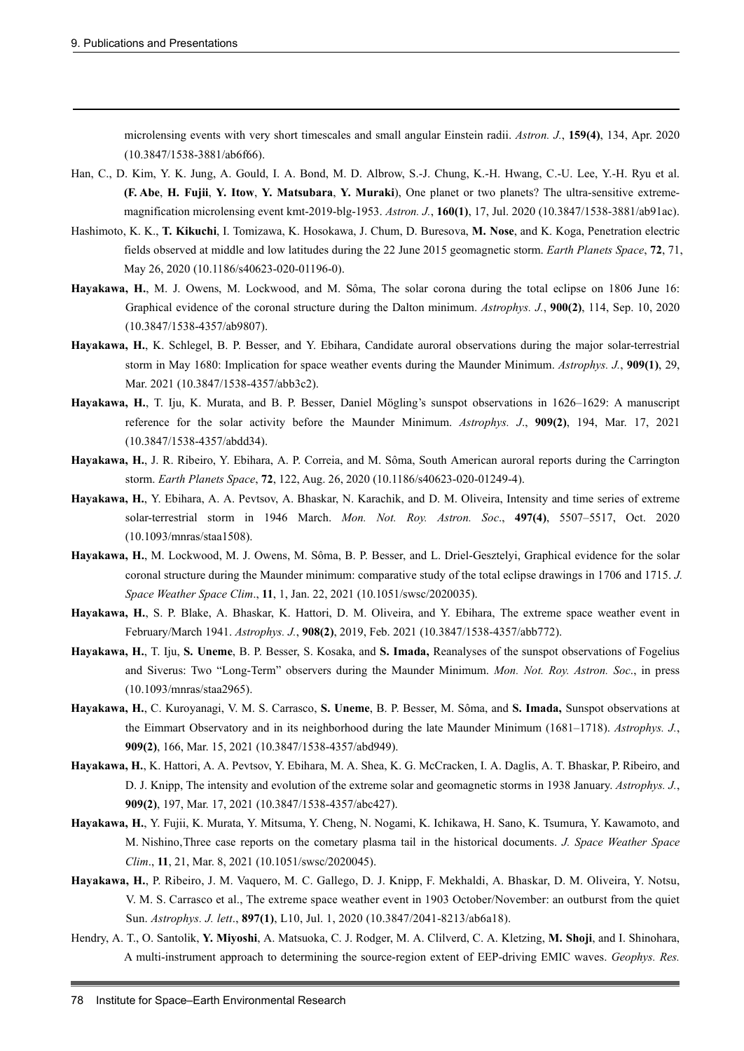microlensing events with very short timescales and small angular Einstein radii. *Astron. J.*, **159(4)**, 134, Apr. 2020 (10.3847/1538-3881/ab6f66).

- Han, C., D. Kim, Y. K. Jung, A. Gould, I. A. Bond, M. D. Albrow, S.-J. Chung, K.-H. Hwang, C.-U. Lee, Y.-H. Ryu et al. **(F. Abe**, **H. Fujii**, **Y. Itow**, **Y. Matsubara**, **Y. Muraki**), One planet or two planets? The ultra-sensitive extrememagnification microlensing event kmt-2019-blg-1953. *Astron. J.*, **160(1)**, 17, Jul. 2020 (10.3847/1538-3881/ab91ac).
- Hashimoto, K. K., **T. Kikuchi**, I. Tomizawa, K. Hosokawa, J. Chum, D. Buresova, **M. Nose**, and K. Koga, Penetration electric fields observed at middle and low latitudes during the 22 June 2015 geomagnetic storm. *Earth Planets Space*, **72**, 71, May 26, 2020 (10.1186/s40623-020-01196-0).
- **Hayakawa, H.**, M. J. Owens, M. Lockwood, and M. Sôma, The solar corona during the total eclipse on 1806 June 16: Graphical evidence of the coronal structure during the Dalton minimum. *Astrophys. J.*, **900(2)**, 114, Sep. 10, 2020 (10.3847/1538-4357/ab9807).
- **Hayakawa, H.**, K. Schlegel, B. P. Besser, and Y. Ebihara, Candidate auroral observations during the major solar-terrestrial storm in May 1680: Implication for space weather events during the Maunder Minimum. *Astrophys. J.*, **909(1)**, 29, Mar. 2021 (10.3847/1538-4357/abb3c2).
- **Hayakawa, H.**, T. Iju, K. Murata, and B. P. Besser, Daniel Mögling's sunspot observations in 1626–1629: A manuscript reference for the solar activity before the Maunder Minimum. *Astrophys. J*., **909(2)**, 194, Mar. 17, 2021 (10.3847/1538-4357/abdd34).
- **Hayakawa, H.**, J. R. Ribeiro, Y. Ebihara, A. P. Correia, and M. Sôma, South American auroral reports during the Carrington storm. *Earth Planets Space*, **72**, 122, Aug. 26, 2020 (10.1186/s40623-020-01249-4).
- **Hayakawa, H.**, Y. Ebihara, A. A. Pevtsov, A. Bhaskar, N. Karachik, and D. M. Oliveira, Intensity and time series of extreme solar-terrestrial storm in 1946 March. *Mon. Not. Roy. Astron. Soc*., **497(4)**, 5507–5517, Oct. 2020 (10.1093/mnras/staa1508).
- **Hayakawa, H.**, M. Lockwood, M. J. Owens, M. Sôma, B. P. Besser, and L. Driel-Gesztelyi, Graphical evidence for the solar coronal structure during the Maunder minimum: comparative study of the total eclipse drawings in 1706 and 1715. *J. Space Weather Space Clim*., **11**, 1, Jan. 22, 2021 (10.1051/swsc/2020035).
- **Hayakawa, H.**, S. P. Blake, A. Bhaskar, K. Hattori, D. M. Oliveira, and Y. Ebihara, The extreme space weather event in February/March 1941. *Astrophys. J.*, **908(2)**, 2019, Feb. 2021 (10.3847/1538-4357/abb772).
- **Hayakawa, H.**, T. Iju, **S. Uneme**, B. P. Besser, S. Kosaka, and **S. Imada,** Reanalyses of the sunspot observations of Fogelius and Siverus: Two "Long-Term" observers during the Maunder Minimum. *Mon. Not. Roy. Astron. Soc*., in press (10.1093/mnras/staa2965).
- **Hayakawa, H.**, C. Kuroyanagi, V. M. S. Carrasco, **S. Uneme**, B. P. Besser, M. Sôma, and **S. Imada,** Sunspot observations at the Eimmart Observatory and in its neighborhood during the late Maunder Minimum (1681–1718). *Astrophys. J.*, **909(2)**, 166, Mar. 15, 2021 (10.3847/1538-4357/abd949).
- **Hayakawa, H.**, K. Hattori, A. A. Pevtsov, Y. Ebihara, M. A. Shea, K. G. McCracken, I. A. Daglis, A. T. Bhaskar, P. Ribeiro, and D. J. Knipp, The intensity and evolution of the extreme solar and geomagnetic storms in 1938 January. *Astrophys. J.*, **909(2)**, 197, Mar. 17, 2021 (10.3847/1538-4357/abc427).
- **Hayakawa, H.**, Y. Fujii, K. Murata, Y. Mitsuma, Y. Cheng, N. Nogami, K. Ichikawa, H. Sano, K. Tsumura, Y. Kawamoto, and M. Nishino,Three case reports on the cometary plasma tail in the historical documents. *J. Space Weather Space Clim*., **11**, 21, Mar. 8, 2021 (10.1051/swsc/2020045).
- **Hayakawa, H.**, P. Ribeiro, J. M. Vaquero, M. C. Gallego, D. J. Knipp, F. Mekhaldi, A. Bhaskar, D. M. Oliveira, Y. Notsu, V. M. S. Carrasco et al., The extreme space weather event in 1903 October/November: an outburst from the quiet Sun. *Astrophys. J. lett*., **897(1)**, L10, Jul. 1, 2020 (10.3847/2041-8213/ab6a18).
- Hendry, A. T., O. Santolik, **Y. Miyoshi**, A. Matsuoka, C. J. Rodger, M. A. Clilverd, C. A. Kletzing, **M. Shoji**, and I. Shinohara, A multi-instrument approach to determining the source-region extent of EEP-driving EMIC waves. *Geophys. Res.*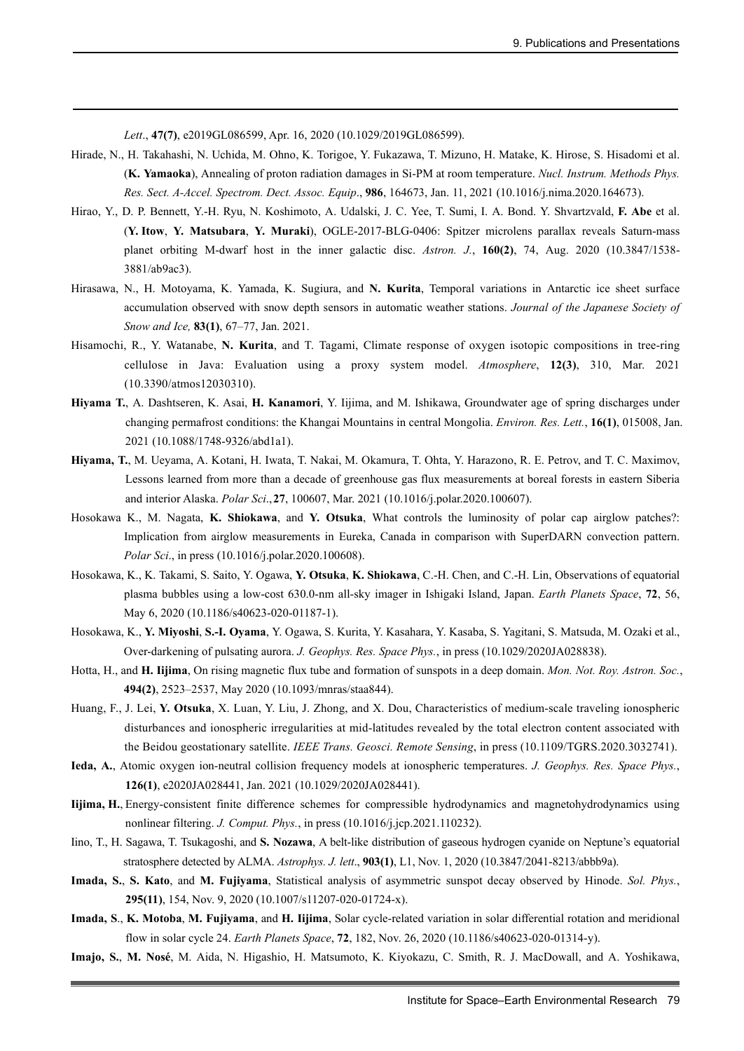*Lett*., **47(7)**, e2019GL086599, Apr. 16, 2020 (10.1029/2019GL086599).

- Hirade, N., H. Takahashi, N. Uchida, M. Ohno, K. Torigoe, Y. Fukazawa, T. Mizuno, H. Matake, K. Hirose, S. Hisadomi et al. (**K. Yamaoka**), Annealing of proton radiation damages in Si-PM at room temperature. *Nucl. Instrum. Methods Phys. Res. Sect. A-Accel. Spectrom. Dect. Assoc. Equip*., **986**, 164673, Jan. 11, 2021 (10.1016/j.nima.2020.164673).
- Hirao, Y., D. P. Bennett, Y.-H. Ryu, N. Koshimoto, A. Udalski, J. C. Yee, T. Sumi, I. A. Bond. Y. Shvartzvald, **F. Abe** et al. (**Y. Itow**, **Y. Matsubara**, **Y. Muraki**), OGLE-2017-BLG-0406: Spitzer microlens parallax reveals Saturn-mass planet orbiting M-dwarf host in the inner galactic disc. *Astron. J.*, **160(2)**, 74, Aug. 2020 (10.3847/1538- 3881/ab9ac3).
- Hirasawa, N., H. Motoyama, K. Yamada, K. Sugiura, and **N. Kurita**, Temporal variations in Antarctic ice sheet surface accumulation observed with snow depth sensors in automatic weather stations. *Journal of the Japanese Society of Snow and Ice,* **83(1)**, 67–77, Jan. 2021.
- Hisamochi, R., Y. Watanabe, **N. Kurita**, and T. Tagami, Climate response of oxygen isotopic compositions in tree-ring cellulose in Java: Evaluation using a proxy system model. *Atmosphere*, **12(3)**, 310, Mar. 2021 (10.3390/atmos12030310).
- **Hiyama T.**, A. Dashtseren, K. Asai, **H. Kanamori**, Y. Iijima, and M. Ishikawa, Groundwater age of spring discharges under changing permafrost conditions: the Khangai Mountains in central Mongolia. *Environ. Res. Lett.*, **16(1)**, 015008, Jan. 2021 (10.1088/1748-9326/abd1a1).
- **Hiyama, T.**, M. Ueyama, A. Kotani, H. Iwata, T. Nakai, M. Okamura, T. Ohta, Y. Harazono, R. E. Petrov, and T. C. Maximov, Lessons learned from more than a decade of greenhouse gas flux measurements at boreal forests in eastern Siberia and interior Alaska. *Polar Sci*.,**27**, 100607, Mar. 2021 (10.1016/j.polar.2020.100607).
- Hosokawa K., M. Nagata, **K. Shiokawa**, and **Y. Otsuka**, What controls the luminosity of polar cap airglow patches?: Implication from airglow measurements in Eureka, Canada in comparison with SuperDARN convection pattern. *Polar Sci*., in press (10.1016/j.polar.2020.100608).
- Hosokawa, K., K. Takami, S. Saito, Y. Ogawa, **Y. Otsuka**, **K. Shiokawa**, C.-H. Chen, and C.-H. Lin, Observations of equatorial plasma bubbles using a low-cost 630.0-nm all-sky imager in Ishigaki Island, Japan. *Earth Planets Space*, **72**, 56, May 6, 2020 (10.1186/s40623-020-01187-1).
- Hosokawa, K., **Y. Miyoshi**, **S.-I. Oyama**, Y. Ogawa, S. Kurita, Y. Kasahara, Y. Kasaba, S. Yagitani, S. Matsuda, M. Ozaki et al., Over-darkening of pulsating aurora. *J. Geophys. Res. Space Phys.*, in press (10.1029/2020JA028838).
- Hotta, H., and **H. Iijima**, On rising magnetic flux tube and formation of sunspots in a deep domain. *Mon. Not. Roy. Astron. Soc.*, **494(2)**, 2523–2537, May 2020 (10.1093/mnras/staa844).
- Huang, F., J. Lei, **Y. Otsuka**, X. Luan, Y. Liu, J. Zhong, and X. Dou, Characteristics of medium-scale traveling ionospheric disturbances and ionospheric irregularities at mid-latitudes revealed by the total electron content associated with the Beidou geostationary satellite. *IEEE Trans. Geosci. Remote Sensing*, in press (10.1109/TGRS.2020.3032741).
- **Ieda, A.**, Atomic oxygen ion-neutral collision frequency models at ionospheric temperatures. *J. Geophys. Res. Space Phys.*, **126(1)**, e2020JA028441, Jan. 2021 (10.1029/2020JA028441).
- **Iijima, H.**, Energy-consistent finite difference schemes for compressible hydrodynamics and magnetohydrodynamics using nonlinear filtering. *J. Comput. Phys.*, in press (10.1016/j.jcp.2021.110232).
- Iino, T., H. Sagawa, T. Tsukagoshi, and **S. Nozawa**, A belt-like distribution of gaseous hydrogen cyanide on Neptune's equatorial stratosphere detected by ALMA. *Astrophys. J. lett*., **903(1)**, L1, Nov. 1, 2020 (10.3847/2041-8213/abbb9a).
- **Imada, S.**, **S. Kato**, and **M. Fujiyama**, Statistical analysis of asymmetric sunspot decay observed by Hinode. *Sol. Phys.*, **295(11)**, 154, Nov. 9, 2020 (10.1007/s11207-020-01724-x).
- **Imada, S**., **K. Motoba**, **M. Fujiyama**, and **H. Iijima**, Solar cycle-related variation in solar differential rotation and meridional flow in solar cycle 24. *Earth Planets Space*, **72**, 182, Nov. 26, 2020 (10.1186/s40623-020-01314-y).
- **Imajo, S.**, **M. Nosé**, M. Aida, N. Higashio, H. Matsumoto, K. Kiyokazu, C. Smith, R. J. MacDowall, and A. Yoshikawa,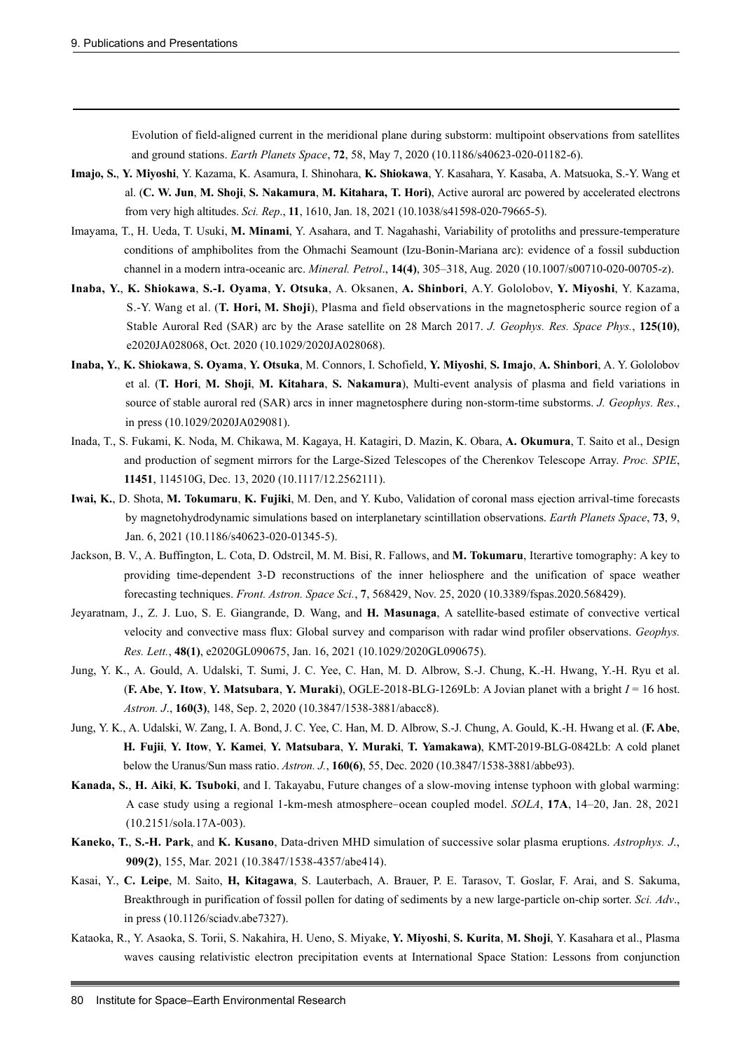Evolution of field-aligned current in the meridional plane during substorm: multipoint observations from satellites and ground stations. *Earth Planets Space*, **72**, 58, May 7, 2020 (10.1186/s40623-020-01182-6).

- **Imajo, S.**, **Y. Miyoshi**, Y. Kazama, K. Asamura, I. Shinohara, **K. Shiokawa**, Y. Kasahara, Y. Kasaba, A. Matsuoka, S.-Y. Wang et al. (**C. W. Jun**, **M. Shoji**, **S. Nakamura**, **M. Kitahara, T. Hori)**, Active auroral arc powered by accelerated electrons from very high altitudes. *Sci. Rep*., **11**, 1610, Jan. 18, 2021 (10.1038/s41598-020-79665-5).
- Imayama, T., H. Ueda, T. Usuki, **M. Minami**, Y. Asahara, and T. Nagahashi, Variability of protoliths and pressure-temperature conditions of amphibolites from the Ohmachi Seamount (Izu-Bonin-Mariana arc): evidence of a fossil subduction channel in a modern intra-oceanic arc. *Mineral. Petrol*., **14(4)**, 305–318, Aug. 2020 (10.1007/s00710-020-00705-z).
- **Inaba, Y.**, **K. Shiokawa**, **S.-I. Oyama**, **Y. Otsuka**, A. Oksanen, **A. Shinbori**, A.Y. Gololobov, **Y. Miyoshi**, Y. Kazama, S.-Y. Wang et al. (**T. Hori, M. Shoji**), Plasma and field observations in the magnetospheric source region of a Stable Auroral Red (SAR) arc by the Arase satellite on 28 March 2017. *J. Geophys. Res. Space Phys.*, **125(10)**, e2020JA028068, Oct. 2020 (10.1029/2020JA028068).
- **Inaba, Y.**, **K. Shiokawa**, **S. Oyama**, **Y. Otsuka**, M. Connors, I. Schofield, **Y. Miyoshi**, **S. Imajo**, **A. Shinbori**, A. Y. Gololobov et al. (**T. Hori**, **M. Shoji**, **M. Kitahara**, **S. Nakamura**), Multi-event analysis of plasma and field variations in source of stable auroral red (SAR) arcs in inner magnetosphere during non-storm-time substorms. *J. Geophys. Res.*, in press (10.1029/2020JA029081).
- Inada, T., S. Fukami, K. Noda, M. Chikawa, M. Kagaya, H. Katagiri, D. Mazin, K. Obara, **A. Okumura**, T. Saito et al., Design and production of segment mirrors for the Large-Sized Telescopes of the Cherenkov Telescope Array. *Proc. SPIE*, **11451**, 114510G, Dec. 13, 2020 (10.1117/12.2562111).
- **Iwai, K.**, D. Shota, **M. Tokumaru**, **K. Fujiki**, M. Den, and Y. Kubo, Validation of coronal mass ejection arrival-time forecasts by magnetohydrodynamic simulations based on interplanetary scintillation observations. *Earth Planets Space*, **73**, 9, Jan. 6, 2021 (10.1186/s40623-020-01345-5).
- Jackson, B. V., A. Buffington, L. Cota, D. Odstrcil, M. M. Bisi, R. Fallows, and **M. Tokumaru**, Iterartive tomography: A key to providing time-dependent 3-D reconstructions of the inner heliosphere and the unification of space weather forecasting techniques. *Front. Astron. Space Sci.*, **7**, 568429, Nov. 25, 2020 (10.3389/fspas.2020.568429).
- Jeyaratnam, J., Z. J. Luo, S. E. Giangrande, D. Wang, and **H. Masunaga**, A satellite-based estimate of convective vertical velocity and convective mass flux: Global survey and comparison with radar wind profiler observations. *Geophys. Res. Lett.*, **48(1)**, e2020GL090675, Jan. 16, 2021 (10.1029/2020GL090675).
- Jung, Y. K., A. Gould, A. Udalski, T. Sumi, J. C. Yee, C. Han, M. D. Albrow, S.-J. Chung, K.-H. Hwang, Y.-H. Ryu et al. (**F. Abe**, **Y. Itow**, **Y. Matsubara**, **Y. Muraki**), OGLE-2018-BLG-1269Lb: A Jovian planet with a bright *I* = 16 host. *Astron. J*., **160(3)**, 148, Sep. 2, 2020 (10.3847/1538-3881/abacc8).
- Jung, Y. K., A. Udalski, W. Zang, I. A. Bond, J. C. Yee, C. Han, M. D. Albrow, S.-J. Chung, A. Gould, K.-H. Hwang et al. (**F. Abe**, **H. Fujii**, **Y. Itow**, **Y. Kamei**, **Y. Matsubara**, **Y. Muraki**, **T. Yamakawa)**, KMT-2019-BLG-0842Lb: A cold planet below the Uranus/Sun mass ratio. *Astron. J.*, **160(6)**, 55, Dec. 2020 (10.3847/1538-3881/abbe93).
- **Kanada, S.**, **H. Aiki**, **K. Tsuboki**, and I. Takayabu, Future changes of a slow-moving intense typhoon with global warming: A case study using a regional 1-km-mesh atmosphere–ocean coupled model. *SOLA*, **17A**, 14–20, Jan. 28, 2021 (10.2151/sola.17A-003).
- **Kaneko, T.**, **S.-H. Park**, and **K. Kusano**, Data-driven MHD simulation of successive solar plasma eruptions. *Astrophys. J*., **909(2)**, 155, Mar. 2021 (10.3847/1538-4357/abe414).
- Kasai, Y., **C. Leipe**, M. Saito, **H, Kitagawa**, S. Lauterbach, A. Brauer, P. E. Tarasov, T. Goslar, F. Arai, and S. Sakuma, Breakthrough in purification of fossil pollen for dating of sediments by a new large-particle on-chip sorter. *Sci. Adv*., in press (10.1126/sciadv.abe7327).
- Kataoka, R., Y. Asaoka, S. Torii, S. Nakahira, H. Ueno, S. Miyake, **Y. Miyoshi**, **S. Kurita**, **M. Shoji**, Y. Kasahara et al., Plasma waves causing relativistic electron precipitation events at International Space Station: Lessons from conjunction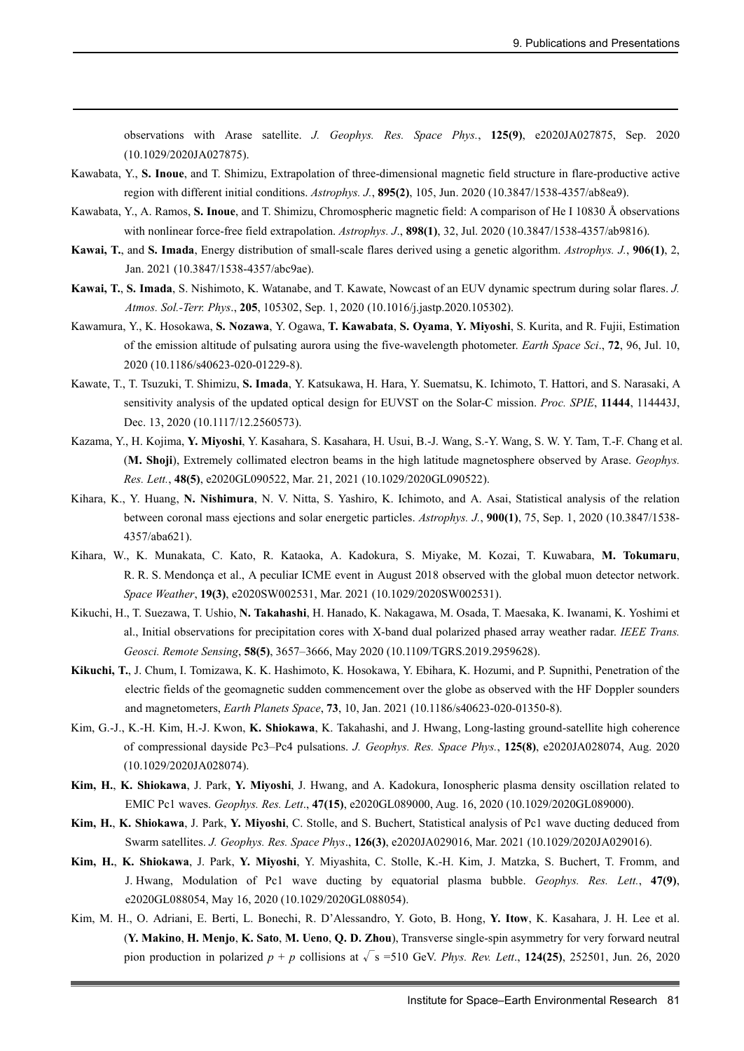observations with Arase satellite. *J. Geophys. Res. Space Phys.*, **125(9)**, e2020JA027875, Sep. 2020 (10.1029/2020JA027875).

- Kawabata, Y., **S. Inoue**, and T. Shimizu, Extrapolation of three-dimensional magnetic field structure in flare-productive active region with different initial conditions. *Astrophys. J.*, **895(2)**, 105, Jun. 2020 (10.3847/1538-4357/ab8ea9).
- Kawabata, Y., A. Ramos, **S. Inoue**, and T. Shimizu, Chromospheric magnetic field: A comparison of He I 10830 Å observations with nonlinear force-free field extrapolation. *Astrophys. J*., **898(1)**, 32, Jul. 2020 (10.3847/1538-4357/ab9816).
- **Kawai, T.**, and **S. Imada**, Energy distribution of small-scale flares derived using a genetic algorithm. *Astrophys. J.*, **906(1)**, 2, Jan. 2021 (10.3847/1538-4357/abc9ae).
- **Kawai, T.**, **S. Imada**, S. Nishimoto, K. Watanabe, and T. Kawate, Nowcast of an EUV dynamic spectrum during solar flares. *J. Atmos. Sol.-Terr. Phys*., **205**, 105302, Sep. 1, 2020 (10.1016/j.jastp.2020.105302).
- Kawamura, Y., K. Hosokawa, **S. Nozawa**, Y. Ogawa, **T. Kawabata**, **S. Oyama**, **Y. Miyoshi**, S. Kurita, and R. Fujii, Estimation of the emission altitude of pulsating aurora using the five-wavelength photometer. *Earth Space Sci*., **72**, 96, Jul. 10, 2020 (10.1186/s40623-020-01229-8).
- Kawate, T., T. Tsuzuki, T. Shimizu, **S. Imada**, Y. Katsukawa, H. Hara, Y. Suematsu, K. Ichimoto, T. Hattori, and S. Narasaki, A sensitivity analysis of the updated optical design for EUVST on the Solar-C mission. *Proc. SPIE*, **11444**, 114443J, Dec. 13, 2020 (10.1117/12.2560573).
- Kazama, Y., H. Kojima, **Y. Miyoshi**, Y. Kasahara, S. Kasahara, H. Usui, B.-J. Wang, S.-Y. Wang, S. W. Y. Tam, T.-F. Chang et al. (**M. Shoji**), Extremely collimated electron beams in the high latitude magnetosphere observed by Arase. *Geophys. Res. Lett.*, **48(5)**, e2020GL090522, Mar. 21, 2021 (10.1029/2020GL090522).
- Kihara, K., Y. Huang, **N. Nishimura**, N. V. Nitta, S. Yashiro, K. Ichimoto, and A. Asai, Statistical analysis of the relation between coronal mass ejections and solar energetic particles. *Astrophys. J.*, **900(1)**, 75, Sep. 1, 2020 (10.3847/1538- 4357/aba621).
- Kihara, W., K. Munakata, C. Kato, R. Kataoka, A. Kadokura, S. Miyake, M. Kozai, T. Kuwabara, **M. Tokumaru**, R. R. S. Mendonça et al., A peculiar ICME event in August 2018 observed with the global muon detector network. *Space Weather*, **19(3)**, e2020SW002531, Mar. 2021 (10.1029/2020SW002531).
- Kikuchi, H., T. Suezawa, T. Ushio, **N. Takahashi**, H. Hanado, K. Nakagawa, M. Osada, T. Maesaka, K. Iwanami, K. Yoshimi et al., Initial observations for precipitation cores with X-band dual polarized phased array weather radar. *IEEE Trans. Geosci. Remote Sensing*, **58(5)**, 3657–3666, May 2020 (10.1109/TGRS.2019.2959628).
- **Kikuchi, T.**, J. Chum, I. Tomizawa, K. K. Hashimoto, K. Hosokawa, Y. Ebihara, K. Hozumi, and P. Supnithi, Penetration of the electric fields of the geomagnetic sudden commencement over the globe as observed with the HF Doppler sounders and magnetometers, *Earth Planets Space*, **73**, 10, Jan. 2021 (10.1186/s40623-020-01350-8).
- Kim, G.-J., K.-H. Kim, H.-J. Kwon, **K. Shiokawa**, K. Takahashi, and J. Hwang, Long-lasting ground-satellite high coherence of compressional dayside Pc3–Pc4 pulsations. *J. Geophys. Res. Space Phys.*, **125(8)**, e2020JA028074, Aug. 2020 (10.1029/2020JA028074).
- **Kim, H.**, **K. Shiokawa**, J. Park, **Y. Miyoshi**, J. Hwang, and A. Kadokura, Ionospheric plasma density oscillation related to EMIC Pc1 waves. *Geophys. Res. Lett*., **47(15)**, e2020GL089000, Aug. 16, 2020 (10.1029/2020GL089000).
- **Kim, H.**, **K. Shiokawa**, J. Park, **Y. Miyoshi**, C. Stolle, and S. Buchert, Statistical analysis of Pc1 wave ducting deduced from Swarm satellites. *J. Geophys. Res. Space Phys*., **126(3)**, e2020JA029016, Mar. 2021 (10.1029/2020JA029016).
- **Kim, H.**, **K. Shiokawa**, J. Park, **Y. Miyoshi**, Y. Miyashita, C. Stolle, K.-H. Kim, J. Matzka, S. Buchert, T. Fromm, and J. Hwang, Modulation of Pc1 wave ducting by equatorial plasma bubble. *Geophys. Res. Lett.*, **47(9)**, e2020GL088054, May 16, 2020 (10.1029/2020GL088054).
- Kim, M. H., O. Adriani, E. Berti, L. Bonechi, R. D'Alessandro, Y. Goto, B. Hong, **Y. Itow**, K. Kasahara, J. H. Lee et al. (**Y. Makino**, **H. Menjo**, **K. Sato**, **M. Ueno**, **Q. D. Zhou**), Transverse single-spin asymmetry for very forward neutral pion production in polarized  $p + p$  collisions at  $\sqrt{s}$  =510 GeV. *Phys. Rev. Lett.*, **124(25)**, 252501, Jun. 26, 2020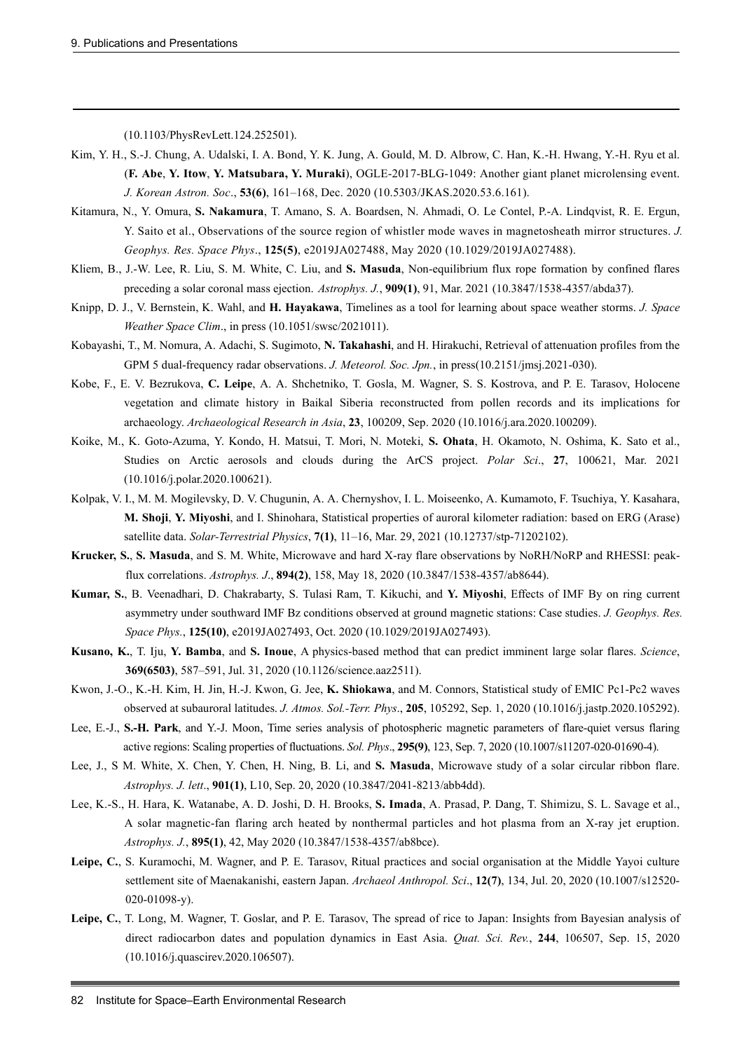(10.1103/PhysRevLett.124.252501).

- Kim, Y. H., S.-J. Chung, A. Udalski, I. A. Bond, Y. K. Jung, A. Gould, M. D. Albrow, C. Han, K.-H. Hwang, Y.-H. Ryu et al. (**F. Abe**, **Y. Itow**, **Y. Matsubara, Y. Muraki**), OGLE-2017-BLG-1049: Another giant planet microlensing event. *J. Korean Astron. Soc*., **53(6)**, 161–168, Dec. 2020 (10.5303/JKAS.2020.53.6.161).
- Kitamura, N., Y. Omura, **S. Nakamura**, T. Amano, S. A. Boardsen, N. Ahmadi, O. Le Contel, P.-A. Lindqvist, R. E. Ergun, Y. Saito et al., Observations of the source region of whistler mode waves in magnetosheath mirror structures. *J. Geophys. Res. Space Phys*., **125(5)**, e2019JA027488, May 2020 (10.1029/2019JA027488).
- Kliem, B., J.-W. Lee, R. Liu, S. M. White, C. Liu, and **S. Masuda**, Non-equilibrium flux rope formation by confined flares preceding a solar coronal mass ejection. *Astrophys. J.*, **909(1)**, 91, Mar. 2021 (10.3847/1538-4357/abda37).
- Knipp, D. J., V. Bernstein, K. Wahl, and **H. Hayakawa**, Timelines as a tool for learning about space weather storms. *J. Space Weather Space Clim*., in press (10.1051/swsc/2021011).
- Kobayashi, T., M. Nomura, A. Adachi, S. Sugimoto, **N. Takahashi**, and H. Hirakuchi, Retrieval of attenuation profiles from the GPM 5 dual-frequency radar observations. *J. Meteorol. Soc. Jpn.*, in press(10.2151/jmsj.2021-030).
- Kobe, F., E. V. Bezrukova, **C. Leipe**, A. A. Shchetniko, T. Gosla, M. Wagner, S. S. Kostrova, and P. E. Tarasov, Holocene vegetation and climate history in Baikal Siberia reconstructed from pollen records and its implications for archaeology. *Archaeological Research in Asia*, **23**, 100209, Sep. 2020 (10.1016/j.ara.2020.100209).
- Koike, M., K. Goto-Azuma, Y. Kondo, H. Matsui, T. Mori, N. Moteki, **S. Ohata**, H. Okamoto, N. Oshima, K. Sato et al., Studies on Arctic aerosols and clouds during the ArCS project. *Polar Sci*., **27**, 100621, Mar. 2021 (10.1016/j.polar.2020.100621).
- Kolpak, V. I., M. M. Mogilevsky, D. V. Chugunin, A. A. Chernyshov, I. L. Moiseenko, A. Kumamoto, F. Tsuchiya, Y. Kasahara, **M. Shoji**, **Y. Miyoshi**, and I. Shinohara, Statistical properties of auroral kilometer radiation: based on ERG (Arase) satellite data. *Solar-Terrestrial Physics*, **7(1)**, 11–16, Mar. 29, 2021 (10.12737/stp-71202102).
- **Krucker, S.**, **S. Masuda**, and S. M. White, Microwave and hard X-ray flare observations by NoRH/NoRP and RHESSI: peakflux correlations. *Astrophys. J*., **894(2)**, 158, May 18, 2020 (10.3847/1538-4357/ab8644).
- **Kumar, S.**, B. Veenadhari, D. Chakrabarty, S. Tulasi Ram, T. Kikuchi, and **Y. Miyoshi**, Effects of IMF By on ring current asymmetry under southward IMF Bz conditions observed at ground magnetic stations: Case studies. *J. Geophys. Res. Space Phys.*, **125(10)**, e2019JA027493, Oct. 2020 (10.1029/2019JA027493).
- **Kusano, K.**, T. Iju, **Y. Bamba**, and **S. Inoue**, A physics-based method that can predict imminent large solar flares. *Science*, **369(6503)**, 587–591, Jul. 31, 2020 (10.1126/science.aaz2511).
- Kwon, J.-O., K.-H. Kim, H. Jin, H.-J. Kwon, G. Jee, **K. Shiokawa**, and M. Connors, Statistical study of EMIC Pc1-Pc2 waves observed at subauroral latitudes. *J. Atmos. Sol.-Terr. Phys*., **205**, 105292, Sep. 1, 2020 (10.1016/j.jastp.2020.105292).
- Lee, E.-J., **S.-H. Park**, and Y.-J. Moon, Time series analysis of photospheric magnetic parameters of flare-quiet versus flaring active regions: Scaling properties of fluctuations. *Sol. Phys*., **295(9)**, 123, Sep. 7, 2020 (10.1007/s11207-020-01690-4).
- Lee, J., S M. White, X. Chen, Y. Chen, H. Ning, B. Li, and **S. Masuda**, Microwave study of a solar circular ribbon flare. *Astrophys. J. lett*., **901(1)**, L10, Sep. 20, 2020 (10.3847/2041-8213/abb4dd).
- Lee, K.-S., H. Hara, K. Watanabe, A. D. Joshi, D. H. Brooks, **S. Imada**, A. Prasad, P. Dang, T. Shimizu, S. L. Savage et al., A solar magnetic-fan flaring arch heated by nonthermal particles and hot plasma from an X-ray jet eruption. *Astrophys. J.*, **895(1)**, 42, May 2020 (10.3847/1538-4357/ab8bce).
- Leipe, C., S. Kuramochi, M. Wagner, and P. E. Tarasov, Ritual practices and social organisation at the Middle Yayoi culture settlement site of Maenakanishi, eastern Japan. *Archaeol Anthropol. Sci*., **12(7)**, 134, Jul. 20, 2020 (10.1007/s12520- 020-01098-y).
- **Leipe, C.**, T. Long, M. Wagner, T. Goslar, and P. E. Tarasov, The spread of rice to Japan: Insights from Bayesian analysis of direct radiocarbon dates and population dynamics in East Asia. *Quat. Sci. Rev.*, **244**, 106507, Sep. 15, 2020 (10.1016/j.quascirev.2020.106507).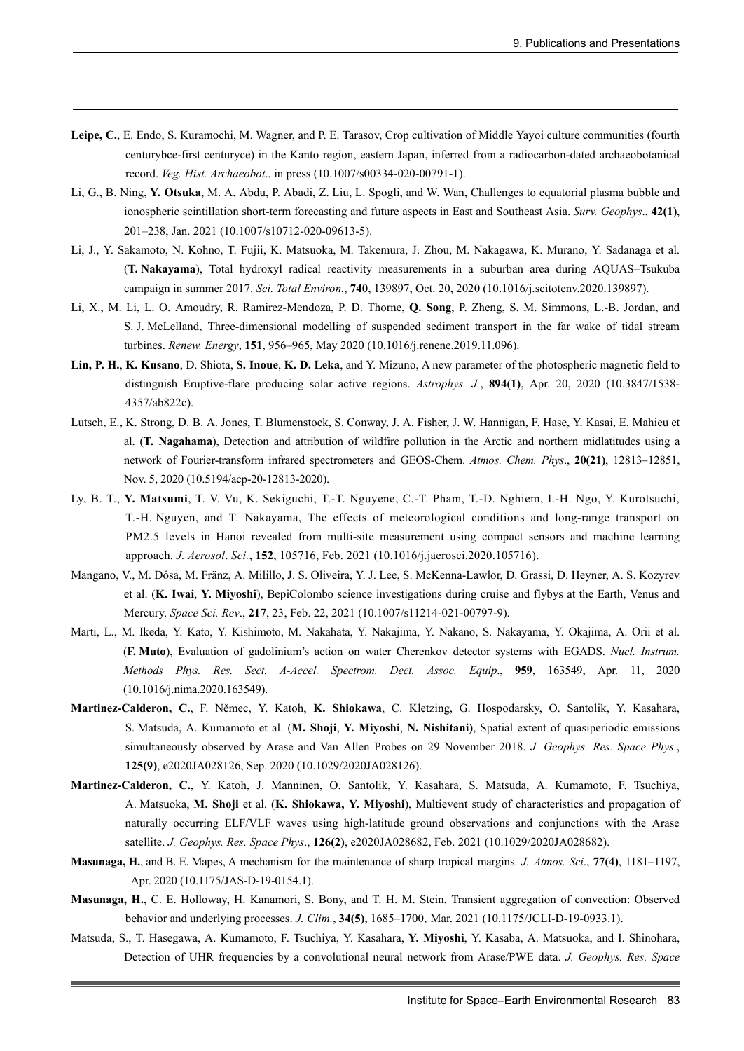- **Leipe, C.**, E. Endo, S. Kuramochi, M. Wagner, and P. E. Tarasov, Crop cultivation of Middle Yayoi culture communities (fourth centurybce-first centuryce) in the Kanto region, eastern Japan, inferred from a radiocarbon-dated archaeobotanical record. *Veg. Hist. Archaeobot*., in press (10.1007/s00334-020-00791-1).
- Li, G., B. Ning, **Y. Otsuka**, M. A. Abdu, P. Abadi, Z. Liu, L. Spogli, and W. Wan, Challenges to equatorial plasma bubble and ionospheric scintillation short-term forecasting and future aspects in East and Southeast Asia. *Surv. Geophys*., **42(1)**, 201–238, Jan. 2021 (10.1007/s10712-020-09613-5).
- Li, J., Y. Sakamoto, N. Kohno, T. Fujii, K. Matsuoka, M. Takemura, J. Zhou, M. Nakagawa, K. Murano, Y. Sadanaga et al. (**T. Nakayama**), Total hydroxyl radical reactivity measurements in a suburban area during AQUAS–Tsukuba campaign in summer 2017. *Sci. Total Environ.*, **740**, 139897, Oct. 20, 2020 (10.1016/j.scitotenv.2020.139897).
- Li, X., M. Li, L. O. Amoudry, R. Ramirez-Mendoza, P. D. Thorne, **Q. Song**, P. Zheng, S. M. Simmons, L.-B. Jordan, and S. J. McLelland, Three-dimensional modelling of suspended sediment transport in the far wake of tidal stream turbines. *Renew. Energy*, **151**, 956–965, May 2020 (10.1016/j.renene.2019.11.096).
- **Lin, P. H.**, **K. Kusano**, D. Shiota, **S. Inoue**, **K. D. Leka**, and Y. Mizuno, A new parameter of the photospheric magnetic field to distinguish Eruptive-flare producing solar active regions. *Astrophys. J.*, **894(1)**, Apr. 20, 2020 (10.3847/1538- 4357/ab822c).
- Lutsch, E., K. Strong, D. B. A. Jones, T. Blumenstock, S. Conway, J. A. Fisher, J. W. Hannigan, F. Hase, Y. Kasai, E. Mahieu et al. (**T. Nagahama**), Detection and attribution of wildfire pollution in the Arctic and northern midlatitudes using a network of Fourier-transform infrared spectrometers and GEOS-Chem. *Atmos. Chem. Phys*., **20(21)**, 12813–12851, Nov. 5, 2020 (10.5194/acp-20-12813-2020).
- Ly, B. T., **Y. Matsumi**, T. V. Vu, K. Sekiguchi, T.-T. Nguyene, C.-T. Pham, T.-D. Nghiem, I.-H. Ngo, Y. Kurotsuchi, T.-H. Nguyen, and T. Nakayama, The effects of meteorological conditions and long-range transport on PM2.5 levels in Hanoi revealed from multi-site measurement using compact sensors and machine learning approach. *J. Aerosol*. *Sci.*, **152**, 105716, Feb. 2021 (10.1016/j.jaerosci.2020.105716).
- Mangano, V., M. Dósa, M. Fränz, A. Milillo, J. S. Oliveira, Y. J. Lee, S. McKenna-Lawlor, D. Grassi, D. Heyner, A. S. Kozyrev et al. (**K. Iwai**, **Y. Miyoshi**), BepiColombo science investigations during cruise and flybys at the Earth, Venus and Mercury. *Space Sci. Rev*., **217**, 23, Feb. 22, 2021 (10.1007/s11214-021-00797-9).
- Marti, L., M. Ikeda, Y. Kato, Y. Kishimoto, M. Nakahata, Y. Nakajima, Y. Nakano, S. Nakayama, Y. Okajima, A. Orii et al. (**F. Muto**), Evaluation of gadolinium's action on water Cherenkov detector systems with EGADS. *Nucl. Instrum. Methods Phys. Res. Sect. A-Accel. Spectrom. Dect. Assoc. Equip*., **959**, 163549, Apr. 11, 2020 (10.1016/j.nima.2020.163549).
- **Martinez-Calderon, C.**, F. Němec, Y. Katoh, **K. Shiokawa**, C. Kletzing, G. Hospodarsky, O. Santolik, Y. Kasahara, S. Matsuda, A. Kumamoto et al. (**M. Shoji**, **Y. Miyoshi**, **N. Nishitani)**, Spatial extent of quasiperiodic emissions simultaneously observed by Arase and Van Allen Probes on 29 November 2018. *J. Geophys. Res. Space Phys.*, **125(9)**, e2020JA028126, Sep. 2020 (10.1029/2020JA028126).
- **Martinez-Calderon, C.**, Y. Katoh, J. Manninen, O. Santolik, Y. Kasahara, S. Matsuda, A. Kumamoto, F. Tsuchiya, A. Matsuoka, **M. Shoji** et al. (**K. Shiokawa, Y. Miyoshi**), Multievent study of characteristics and propagation of naturally occurring ELF/VLF waves using high-latitude ground observations and conjunctions with the Arase satellite. *J. Geophys. Res. Space Phys*., **126(2)**, e2020JA028682, Feb. 2021 (10.1029/2020JA028682).
- **Masunaga, H.**, and B. E. Mapes, A mechanism for the maintenance of sharp tropical margins. *J. Atmos. Sci*., **77(4)**, 1181–1197, Apr. 2020 (10.1175/JAS-D-19-0154.1).
- **Masunaga, H.**, C. E. Holloway, H. Kanamori, S. Bony, and T. H. M. Stein, Transient aggregation of convection: Observed behavior and underlying processes. *J. Clim.*, **34(5)**, 1685–1700, Mar. 2021 (10.1175/JCLI-D-19-0933.1).
- Matsuda, S., T. Hasegawa, A. Kumamoto, F. Tsuchiya, Y. Kasahara, **Y. Miyoshi**, Y. Kasaba, A. Matsuoka, and I. Shinohara, Detection of UHR frequencies by a convolutional neural network from Arase/PWE data. *J. Geophys. Res. Space*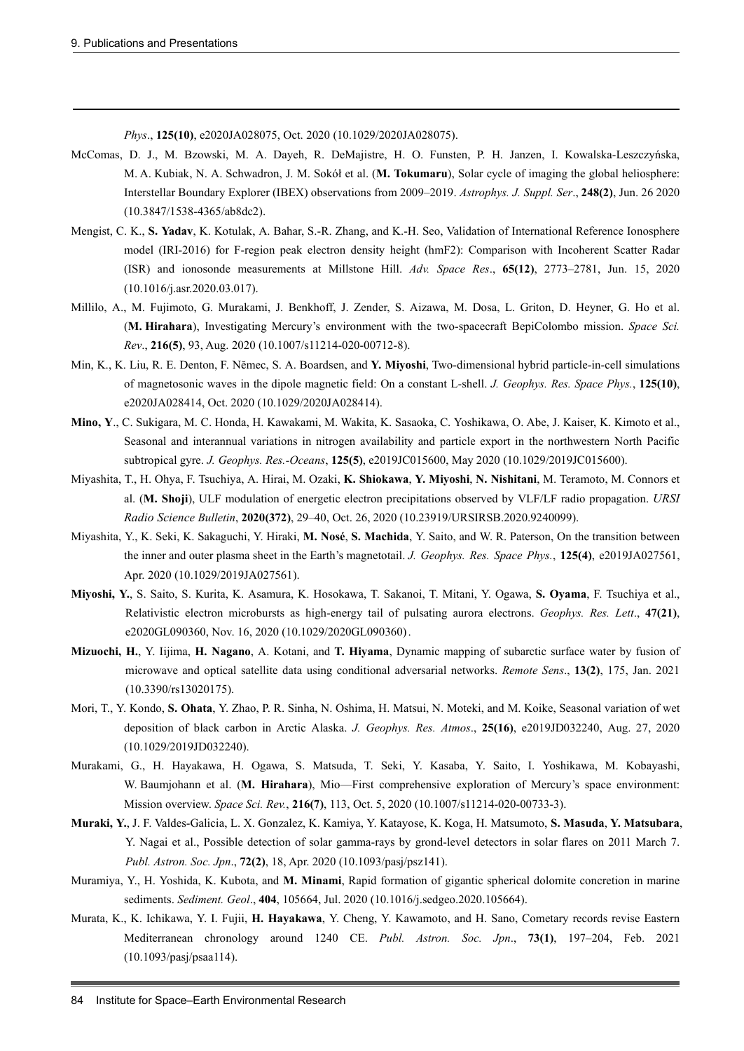*Phys*., **125(10)**, e2020JA028075, Oct. 2020 (10.1029/2020JA028075).

- McComas, D. J., M. Bzowski, M. A. Dayeh, R. DeMajistre, H. O. Funsten, P. H. Janzen, I. Kowalska-Leszczyńska, M. A. Kubiak, N. A. Schwadron, J. M. Sokół et al. (**M. Tokumaru**), Solar cycle of imaging the global heliosphere: Interstellar Boundary Explorer (IBEX) observations from 2009–2019. *Astrophys. J. Suppl. Ser*., **248(2)**, Jun. 26 2020 (10.3847/1538-4365/ab8dc2).
- Mengist, C. K., **S. Yadav**, K. Kotulak, A. Bahar, S.-R. Zhang, and K.-H. Seo, Validation of International Reference Ionosphere model (IRI-2016) for F-region peak electron density height (hmF2): Comparison with Incoherent Scatter Radar (ISR) and ionosonde measurements at Millstone Hill. *Adv. Space Res*., **65(12)**, 2773–2781, Jun. 15, 2020 (10.1016/j.asr.2020.03.017).
- Millilo, A., M. Fujimoto, G. Murakami, J. Benkhoff, J. Zender, S. Aizawa, M. Dosa, L. Griton, D. Heyner, G. Ho et al. (**M. Hirahara**), Investigating Mercury's environment with the two-spacecraft BepiColombo mission. *Space Sci. Rev*., **216(5)**, 93, Aug. 2020 (10.1007/s11214-020-00712-8).
- Min, K., K. Liu, R. E. Denton, F. Nĕmec, S. A. Boardsen, and **Y. Miyoshi**, Two-dimensional hybrid particle-in-cell simulations of magnetosonic waves in the dipole magnetic field: On a constant L-shell. *J. Geophys. Res. Space Phys.*, **125(10)**, e2020JA028414, Oct. 2020 (10.1029/2020JA028414).
- **Mino, Y**., C. Sukigara, M. C. Honda, H. Kawakami, M. Wakita, K. Sasaoka, C. Yoshikawa, O. Abe, J. Kaiser, K. Kimoto et al., Seasonal and interannual variations in nitrogen availability and particle export in the northwestern North Pacific subtropical gyre. *J. Geophys. Res.-Oceans*, **125(5)**, e2019JC015600, May 2020 (10.1029/2019JC015600).
- Miyashita, T., H. Ohya, F. Tsuchiya, A. Hirai, M. Ozaki, **K. Shiokawa**, **Y. Miyoshi**, **N. Nishitani**, M. Teramoto, M. Connors et al. (**M. Shoji**), ULF modulation of energetic electron precipitations observed by VLF/LF radio propagation. *URSI Radio Science Bulletin*, **2020(372)**, 29–40, Oct. 26, 2020 (10.23919/URSIRSB.2020.9240099).
- Miyashita, Y., K. Seki, K. Sakaguchi, Y. Hiraki, **M. Nosé**, **S. Machida**, Y. Saito, and W. R. Paterson, On the transition between the inner and outer plasma sheet in the Earth's magnetotail. *J. Geophys. Res. Space Phys.*, **125(4)**, e2019JA027561, Apr. 2020 (10.1029/2019JA027561).
- **Miyoshi, Y.**, S. Saito, S. Kurita, K. Asamura, K. Hosokawa, T. Sakanoi, T. Mitani, Y. Ogawa, **S. Oyama**, F. Tsuchiya et al., Relativistic electron microbursts as high-energy tail of pulsating aurora electrons. *Geophys. Res. Lett*., **47(21)**, e2020GL090360, Nov. 16, 2020 (10.1029/2020GL090360).
- **Mizuochi, H.**, Y. Iijima, **H. Nagano**, A. Kotani, and **T. Hiyama**, Dynamic mapping of subarctic surface water by fusion of microwave and optical satellite data using conditional adversarial networks. *Remote Sens*., **13(2)**, 175, Jan. 2021 (10.3390/rs13020175).
- Mori, T., Y. Kondo, **S. Ohata**, Y. Zhao, P. R. Sinha, N. Oshima, H. Matsui, N. Moteki, and M. Koike, Seasonal variation of wet deposition of black carbon in Arctic Alaska. *J. Geophys. Res. Atmos*., **25(16)**, e2019JD032240, Aug. 27, 2020 (10.1029/2019JD032240).
- Murakami, G., H. Hayakawa, H. Ogawa, S. Matsuda, T. Seki, Y. Kasaba, Y. Saito, I. Yoshikawa, M. Kobayashi, W. Baumjohann et al. (**M. Hirahara**), Mio—First comprehensive exploration of Mercury's space environment: Mission overview. *Space Sci. Rev.*, **216(7)**, 113, Oct. 5, 2020 (10.1007/s11214-020-00733-3).
- **Muraki, Y.**, J. F. Valdes-Galicia, L. X. Gonzalez, K. Kamiya, Y. Katayose, K. Koga, H. Matsumoto, **S. Masuda**, **Y. Matsubara**, Y. Nagai et al., Possible detection of solar gamma-rays by grond-level detectors in solar flares on 2011 March 7. *Publ. Astron. Soc. Jpn*., **72(2)**, 18, Apr. 2020 (10.1093/pasj/psz141).
- Muramiya, Y., H. Yoshida, K. Kubota, and **M. Minami**, Rapid formation of gigantic spherical dolomite concretion in marine sediments. *Sediment. Geol*., **404**, 105664, Jul. 2020 (10.1016/j.sedgeo.2020.105664).
- Murata, K., K. Ichikawa, Y. I. Fujii, **H. Hayakawa**, Y. Cheng, Y. Kawamoto, and H. Sano, Cometary records revise Eastern Mediterranean chronology around 1240 CE. *Publ. Astron. Soc. Jpn*., **73(1)**, 197–204, Feb. 2021 (10.1093/pasj/psaa114).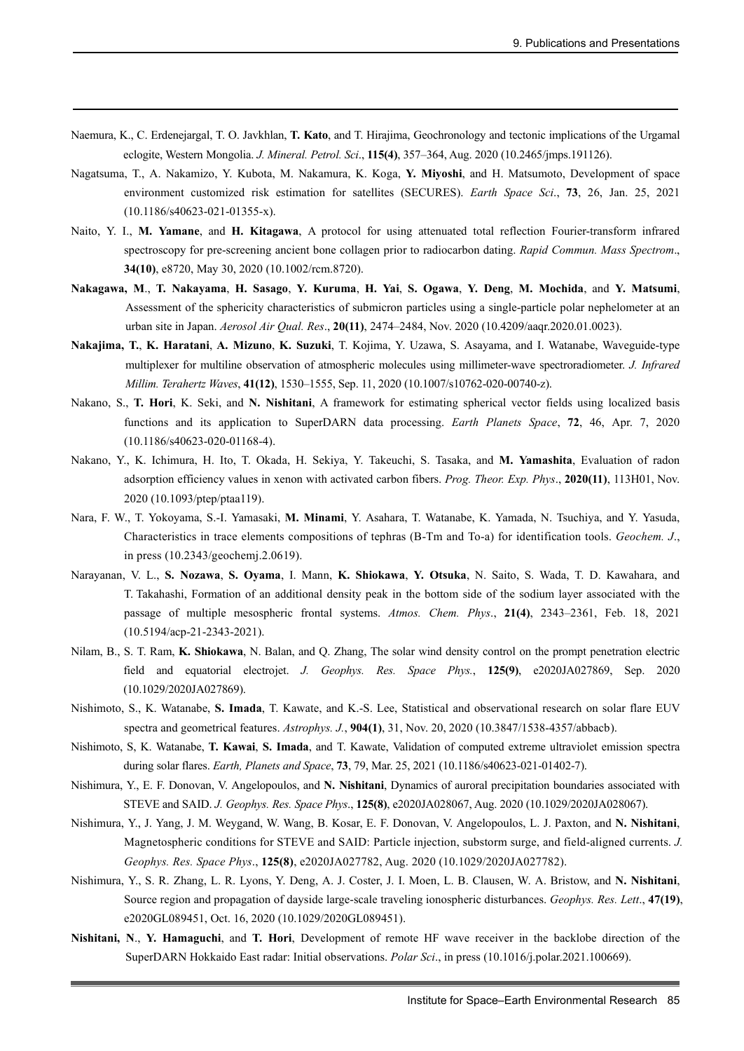- Naemura, K., C. Erdenejargal, T. O. Javkhlan, **T. Kato**, and T. Hirajima, Geochronology and tectonic implications of the Urgamal eclogite, Western Mongolia. *J. Mineral. Petrol. Sci*., **115(4)**, 357–364, Aug. 2020 (10.2465/jmps.191126).
- Nagatsuma, T., A. Nakamizo, Y. Kubota, M. Nakamura, K. Koga, **Y. Miyoshi**, and H. Matsumoto, Development of space environment customized risk estimation for satellites (SECURES). *Earth Space Sci*., **73**, 26, Jan. 25, 2021 (10.1186/s40623-021-01355-x).
- Naito, Y. I., **M. Yamane**, and **H. Kitagawa**, A protocol for using attenuated total reflection Fourier-transform infrared spectroscopy for pre-screening ancient bone collagen prior to radiocarbon dating. *Rapid Commun. Mass Spectrom*., **34(10)**, e8720, May 30, 2020 (10.1002/rcm.8720).
- **Nakagawa, M**., **T. Nakayama**, **H. Sasago**, **Y. Kuruma**, **H. Yai**, **S. Ogawa**, **Y. Deng**, **M. Mochida**, and **Y. Matsumi**, Assessment of the sphericity characteristics of submicron particles using a single-particle polar nephelometer at an urban site in Japan. *Aerosol Air Qual. Res*., **20(11)**, 2474–2484, Nov. 2020 (10.4209/aaqr.2020.01.0023).
- **Nakajima, T.**, **K. Haratani**, **A. Mizuno**, **K. Suzuki**, T. Kojima, Y. Uzawa, S. Asayama, and I. Watanabe, Waveguide-type multiplexer for multiline observation of atmospheric molecules using millimeter-wave spectroradiometer. *J. Infrared Millim. Terahertz Waves*, **41(12)**, 1530–1555, Sep. 11, 2020 (10.1007/s10762-020-00740-z).
- Nakano, S., **T. Hori**, K. Seki, and **N. Nishitani**, A framework for estimating spherical vector fields using localized basis functions and its application to SuperDARN data processing. *Earth Planets Space*, **72**, 46, Apr. 7, 2020 (10.1186/s40623-020-01168-4).
- Nakano, Y., K. Ichimura, H. Ito, T. Okada, H. Sekiya, Y. Takeuchi, S. Tasaka, and **M. Yamashita**, Evaluation of radon adsorption efficiency values in xenon with activated carbon fibers. *Prog. Theor. Exp. Phys*., **2020(11)**, 113H01, Nov. 2020 (10.1093/ptep/ptaa119).
- Nara, F. W., T. Yokoyama, S.-I. Yamasaki, **M. Minami**, Y. Asahara, T. Watanabe, K. Yamada, N. Tsuchiya, and Y. Yasuda, Characteristics in trace elements compositions of tephras (B-Tm and To-a) for identification tools. *Geochem. J*., in press (10.2343/geochemj.2.0619).
- Narayanan, V. L., **S. Nozawa**, **S. Oyama**, I. Mann, **K. Shiokawa**, **Y. Otsuka**, N. Saito, S. Wada, T. D. Kawahara, and T. Takahashi, Formation of an additional density peak in the bottom side of the sodium layer associated with the passage of multiple mesospheric frontal systems. *Atmos. Chem. Phys*., **21(4)**, 2343–2361, Feb. 18, 2021 (10.5194/acp-21-2343-2021).
- Nilam, B., S. T. Ram, **K. Shiokawa**, N. Balan, and Q. Zhang, The solar wind density control on the prompt penetration electric field and equatorial electrojet. *J. Geophys. Res. Space Phys.*, **125(9)**, e2020JA027869, Sep. 2020 (10.1029/2020JA027869).
- Nishimoto, S., K. Watanabe, **S. Imada**, T. Kawate, and K.-S. Lee, Statistical and observational research on solar flare EUV spectra and geometrical features. *Astrophys. J.*, **904(1)**, 31, Nov. 20, 2020 (10.3847/1538-4357/abbacb).
- Nishimoto, S, K. Watanabe, **T. Kawai**, **S. Imada**, and T. Kawate, Validation of computed extreme ultraviolet emission spectra during solar flares. *Earth, Planets and Space*, **73**, 79, Mar. 25, 2021 (10.1186/s40623-021-01402-7).
- Nishimura, Y., E. F. Donovan, V. Angelopoulos, and **N. Nishitani**, Dynamics of auroral precipitation boundaries associated with STEVE and SAID. *J. Geophys. Res. Space Phys*., **125(8)**, e2020JA028067, Aug. 2020 (10.1029/2020JA028067).
- Nishimura, Y., J. Yang, J. M. Weygand, W. Wang, B. Kosar, E. F. Donovan, V. Angelopoulos, L. J. Paxton, and **N. Nishitani**, Magnetospheric conditions for STEVE and SAID: Particle injection, substorm surge, and field-aligned currents. *J. Geophys. Res. Space Phys*., **125(8)**, e2020JA027782, Aug. 2020 (10.1029/2020JA027782).
- Nishimura, Y., S. R. Zhang, L. R. Lyons, Y. Deng, A. J. Coster, J. I. Moen, L. B. Clausen, W. A. Bristow, and **N. Nishitani**, Source region and propagation of dayside large-scale traveling ionospheric disturbances. *Geophys. Res. Lett*., **47(19)**, e2020GL089451, Oct. 16, 2020 (10.1029/2020GL089451).
- **Nishitani, N**., **Y. Hamaguchi**, and **T. Hori**, Development of remote HF wave receiver in the backlobe direction of the SuperDARN Hokkaido East radar: Initial observations. *Polar Sci*., in press (10.1016/j.polar.2021.100669).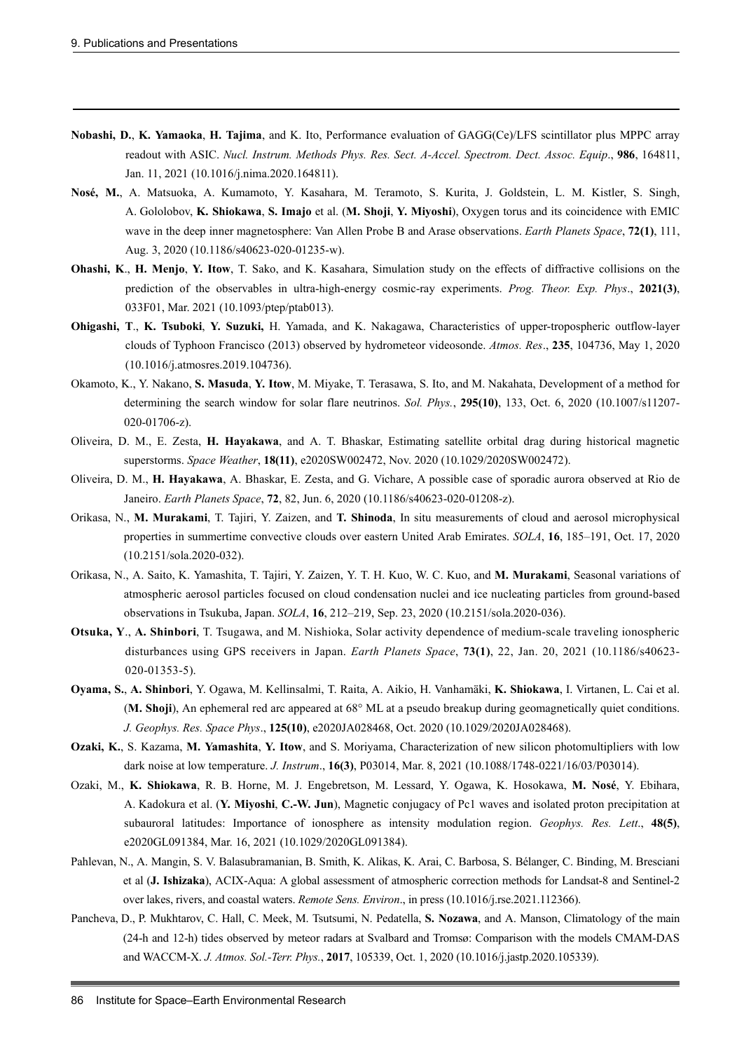- **Nobashi, D.**, **K. Yamaoka**, **H. Tajima**, and K. Ito, Performance evaluation of GAGG(Ce)/LFS scintillator plus MPPC array readout with ASIC. *Nucl. Instrum. Methods Phys. Res. Sect. A-Accel. Spectrom. Dect. Assoc. Equip*., **986**, 164811, Jan. 11, 2021 (10.1016/j.nima.2020.164811).
- **Nosé, M.**, A. Matsuoka, A. Kumamoto, Y. Kasahara, M. Teramoto, S. Kurita, J. Goldstein, L. M. Kistler, S. Singh, A. Gololobov, **K. Shiokawa**, **S. Imajo** et al. (**M. Shoji**, **Y. Miyoshi**), Oxygen torus and its coincidence with EMIC wave in the deep inner magnetosphere: Van Allen Probe B and Arase observations. *Earth Planets Space*, **72(1)**, 111, Aug. 3, 2020 (10.1186/s40623-020-01235-w).
- **Ohashi, K**., **H. Menjo**, **Y. Itow**, T. Sako, and K. Kasahara, Simulation study on the effects of diffractive collisions on the prediction of the observables in ultra-high-energy cosmic-ray experiments. *Prog. Theor. Exp. Phys*., **2021(3)**, 033F01, Mar. 2021 (10.1093/ptep/ptab013).
- **Ohigashi, T**., **K. Tsuboki**, **Y. Suzuki,** H. Yamada, and K. Nakagawa, Characteristics of upper-tropospheric outflow-layer clouds of Typhoon Francisco (2013) observed by hydrometeor videosonde. *Atmos. Res*., **235**, 104736, May 1, 2020 (10.1016/j.atmosres.2019.104736).
- Okamoto, K., Y. Nakano, **S. Masuda**, **Y. Itow**, M. Miyake, T. Terasawa, S. Ito, and M. Nakahata, Development of a method for determining the search window for solar flare neutrinos. *Sol. Phys.*, **295(10)**, 133, Oct. 6, 2020 (10.1007/s11207- 020-01706-z).
- Oliveira, D. M., E. Zesta, **H. Hayakawa**, and A. T. Bhaskar, Estimating satellite orbital drag during historical magnetic superstorms. *Space Weather*, **18(11)**, e2020SW002472, Nov. 2020 (10.1029/2020SW002472).
- Oliveira, D. M., **H. Hayakawa**, A. Bhaskar, E. Zesta, and G. Vichare, A possible case of sporadic aurora observed at Rio de Janeiro. *Earth Planets Space*, **72**, 82, Jun. 6, 2020 (10.1186/s40623-020-01208-z).
- Orikasa, N., **M. Murakami**, T. Tajiri, Y. Zaizen, and **T. Shinoda**, In situ measurements of cloud and aerosol microphysical properties in summertime convective clouds over eastern United Arab Emirates. *SOLA*, **16**, 185–191, Oct. 17, 2020 (10.2151/sola.2020-032).
- Orikasa, N., A. Saito, K. Yamashita, T. Tajiri, Y. Zaizen, Y. T. H. Kuo, W. C. Kuo, and **M. Murakami**, Seasonal variations of atmospheric aerosol particles focused on cloud condensation nuclei and ice nucleating particles from ground-based observations in Tsukuba, Japan. *SOLA*, **16**, 212–219, Sep. 23, 2020 (10.2151/sola.2020-036).
- **Otsuka, Y**., **A. Shinbori**, T. Tsugawa, and M. Nishioka, Solar activity dependence of medium-scale traveling ionospheric disturbances using GPS receivers in Japan. *Earth Planets Space*, **73(1)**, 22, Jan. 20, 2021 (10.1186/s40623- 020-01353-5).
- **Oyama, S.**, **A. Shinbori**, Y. Ogawa, M. Kellinsalmi, T. Raita, A. Aikio, H. Vanhamäki, **K. Shiokawa**, I. Virtanen, L. Cai et al. (**M. Shoji**), An ephemeral red arc appeared at 68° ML at a pseudo breakup during geomagnetically quiet conditions. *J. Geophys. Res. Space Phys*., **125(10)**, e2020JA028468, Oct. 2020 (10.1029/2020JA028468).
- **Ozaki, K.**, S. Kazama, **M. Yamashita**, **Y. Itow**, and S. Moriyama, Characterization of new silicon photomultipliers with low dark noise at low temperature. *J. Instrum*., **16(3)**, P03014, Mar. 8, 2021 (10.1088/1748-0221/16/03/P03014).
- Ozaki, M., **K. Shiokawa**, R. B. Horne, M. J. Engebretson, M. Lessard, Y. Ogawa, K. Hosokawa, **M. Nosé**, Y. Ebihara, A. Kadokura et al. (**Y. Miyoshi**, **C.-W. Jun**), Magnetic conjugacy of Pc1 waves and isolated proton precipitation at subauroral latitudes: Importance of ionosphere as intensity modulation region. *Geophys. Res. Lett*., **48(5)**, e2020GL091384, Mar. 16, 2021 (10.1029/2020GL091384).
- Pahlevan, N., A. Mangin, S. V. Balasubramanian, B. Smith, K. Alikas, K. Arai, C. Barbosa, S. Bélanger, C. Binding, M. Bresciani et al (**J. Ishizaka**), ACIX-Aqua: A global assessment of atmospheric correction methods for Landsat-8 and Sentinel-2 over lakes, rivers, and coastal waters. *Remote Sens. Environ*., in press (10.1016/j.rse.2021.112366).
- Pancheva, D., P. Mukhtarov, C. Hall, C. Meek, M. Tsutsumi, N. Pedatella, **S. Nozawa**, and A. Manson, Climatology of the main (24-h and 12-h) tides observed by meteor radars at Svalbard and Tromsø: Comparison with the models CMAM-DAS and WACCM-X. *J. Atmos. Sol.-Terr. Phys.*, **2017**, 105339, Oct. 1, 2020 (10.1016/j.jastp.2020.105339).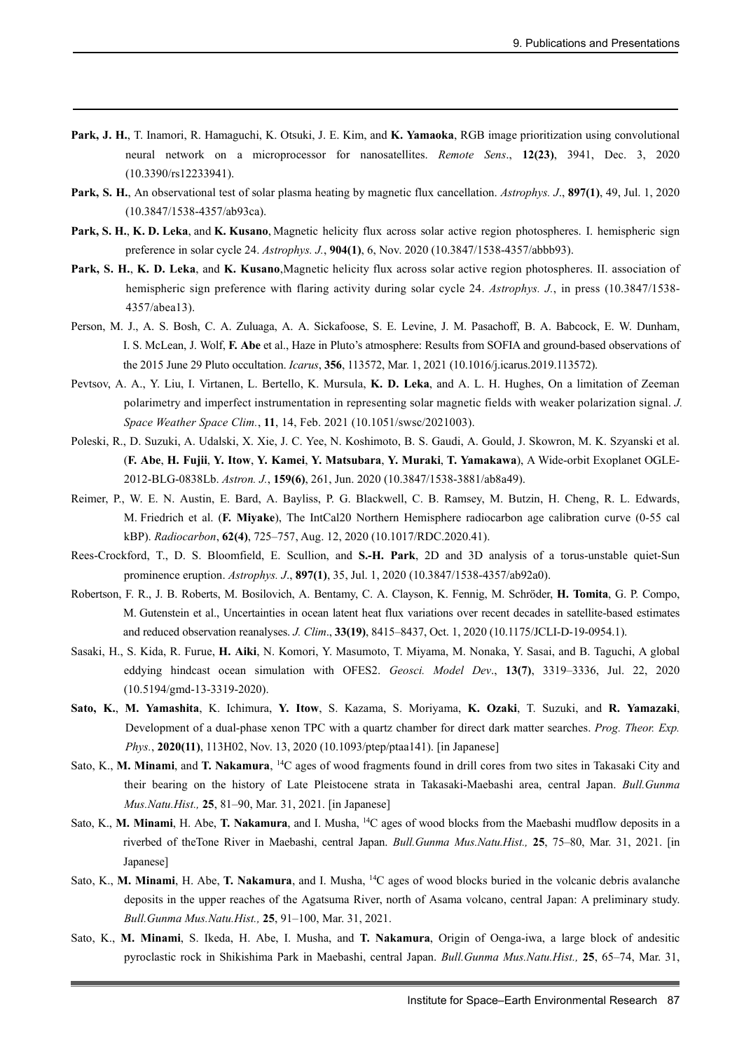- **Park, J. H.**, T. Inamori, R. Hamaguchi, K. Otsuki, J. E. Kim, and **K. Yamaoka**, RGB image prioritization using convolutional neural network on a microprocessor for nanosatellites. *Remote Sens*., **12(23)**, 3941, Dec. 3, 2020 (10.3390/rs12233941).
- **Park, S. H.**, An observational test of solar plasma heating by magnetic flux cancellation. *Astrophys. J*., **897(1)**, 49, Jul. 1, 2020 (10.3847/1538-4357/ab93ca).
- **Park, S. H.**, **K. D. Leka**, and **K. Kusano**, Magnetic helicity flux across solar active region photospheres. I. hemispheric sign preference in solar cycle 24. *Astrophys. J.*, **904(1)**, 6, Nov. 2020 (10.3847/1538-4357/abbb93).
- **Park, S. H.**, **K. D. Leka**, and **K. Kusano**,Magnetic helicity flux across solar active region photospheres. II. association of hemispheric sign preference with flaring activity during solar cycle 24. *Astrophys. J.*, in press (10.3847/1538- 4357/abea13).
- Person, M. J., A. S. Bosh, C. A. Zuluaga, A. A. Sickafoose, S. E. Levine, J. M. Pasachoff, B. A. Babcock, E. W. Dunham, I. S. McLean, J. Wolf, **F. Abe** et al., Haze in Pluto's atmosphere: Results from SOFIA and ground-based observations of the 2015 June 29 Pluto occultation. *Icarus*, **356**, 113572, Mar. 1, 2021 (10.1016/j.icarus.2019.113572).
- Pevtsov, A. A., Y. Liu, I. Virtanen, L. Bertello, K. Mursula, **K. D. Leka**, and A. L. H. Hughes, On a limitation of Zeeman polarimetry and imperfect instrumentation in representing solar magnetic fields with weaker polarization signal. *J. Space Weather Space Clim.*, **11**, 14, Feb. 2021 (10.1051/swsc/2021003).
- Poleski, R., D. Suzuki, A. Udalski, X. Xie, J. C. Yee, N. Koshimoto, B. S. Gaudi, A. Gould, J. Skowron, M. K. Szyanski et al. (**F. Abe**, **H. Fujii**, **Y. Itow**, **Y. Kamei**, **Y. Matsubara**, **Y. Muraki**, **T. Yamakawa**), A Wide-orbit Exoplanet OGLE-2012-BLG-0838Lb. *Astron. J.*, **159(6)**, 261, Jun. 2020 (10.3847/1538-3881/ab8a49).
- Reimer, P., W. E. N. Austin, E. Bard, A. Bayliss, P. G. Blackwell, C. B. Ramsey, M. Butzin, H. Cheng, R. L. Edwards, M. Friedrich et al. (**F. Miyake**), The IntCal20 Northern Hemisphere radiocarbon age calibration curve (0-55 cal kBP). *Radiocarbon*, **62(4)**, 725–757, Aug. 12, 2020 (10.1017/RDC.2020.41).
- Rees-Crockford, T., D. S. Bloomfield, E. Scullion, and **S.-H. Park**, 2D and 3D analysis of a torus-unstable quiet-Sun prominence eruption. *Astrophys. J*., **897(1)**, 35, Jul. 1, 2020 (10.3847/1538-4357/ab92a0).
- Robertson, F. R., J. B. Roberts, M. Bosilovich, A. Bentamy, C. A. Clayson, K. Fennig, M. Schröder, **H. Tomita**, G. P. Compo, M. Gutenstein et al., Uncertainties in ocean latent heat flux variations over recent decades in satellite-based estimates and reduced observation reanalyses. *J. Clim*., **33(19)**, 8415–8437, Oct. 1, 2020 (10.1175/JCLI-D-19-0954.1).
- Sasaki, H., S. Kida, R. Furue, **H. Aiki**, N. Komori, Y. Masumoto, T. Miyama, M. Nonaka, Y. Sasai, and B. Taguchi, A global eddying hindcast ocean simulation with OFES2. *Geosci. Model Dev*., **13(7)**, 3319–3336, Jul. 22, 2020 (10.5194/gmd-13-3319-2020).
- **Sato, K.**, **M. Yamashita**, K. Ichimura, **Y. Itow**, S. Kazama, S. Moriyama, **K. Ozaki**, T. Suzuki, and **R. Yamazaki**, Development of a dual-phase xenon TPC with a quartz chamber for direct dark matter searches. *Prog. Theor. Exp. Phys.*, **2020(11)**, 113H02, Nov. 13, 2020 (10.1093/ptep/ptaa141). [in Japanese]
- Sato, K., **M. Minami**, and **T. Nakamura**, 14C ages of wood fragments found in drill cores from two sites in Takasaki City and their bearing on the history of Late Pleistocene strata in Takasaki-Maebashi area, central Japan. *Bull.Gunma Mus.Natu.Hist.,* **25**, 81–90, Mar. 31, 2021. [in Japanese]
- Sato, K., **M. Minami**, H. Abe, **T. Nakamura**, and I. Musha, 14C ages of wood blocks from the Maebashi mudflow deposits in a riverbed of theTone River in Maebashi, central Japan. *Bull.Gunma Mus.Natu.Hist.,* **25**, 75–80, Mar. 31, 2021. [in Japanese]
- Sato, K., **M. Minami**, H. Abe, **T. Nakamura**, and I. Musha, 14C ages of wood blocks buried in the volcanic debris avalanche deposits in the upper reaches of the Agatsuma River, north of Asama volcano, central Japan: A preliminary study. *Bull.Gunma Mus.Natu.Hist.,* **25**, 91–100, Mar. 31, 2021.
- Sato, K., **M. Minami**, S. Ikeda, H. Abe, I. Musha, and **T. Nakamura**, Origin of Oenga-iwa, a large block of andesitic pyroclastic rock in Shikishima Park in Maebashi, central Japan. *Bull.Gunma Mus.Natu.Hist.,* **25**, 65–74, Mar. 31,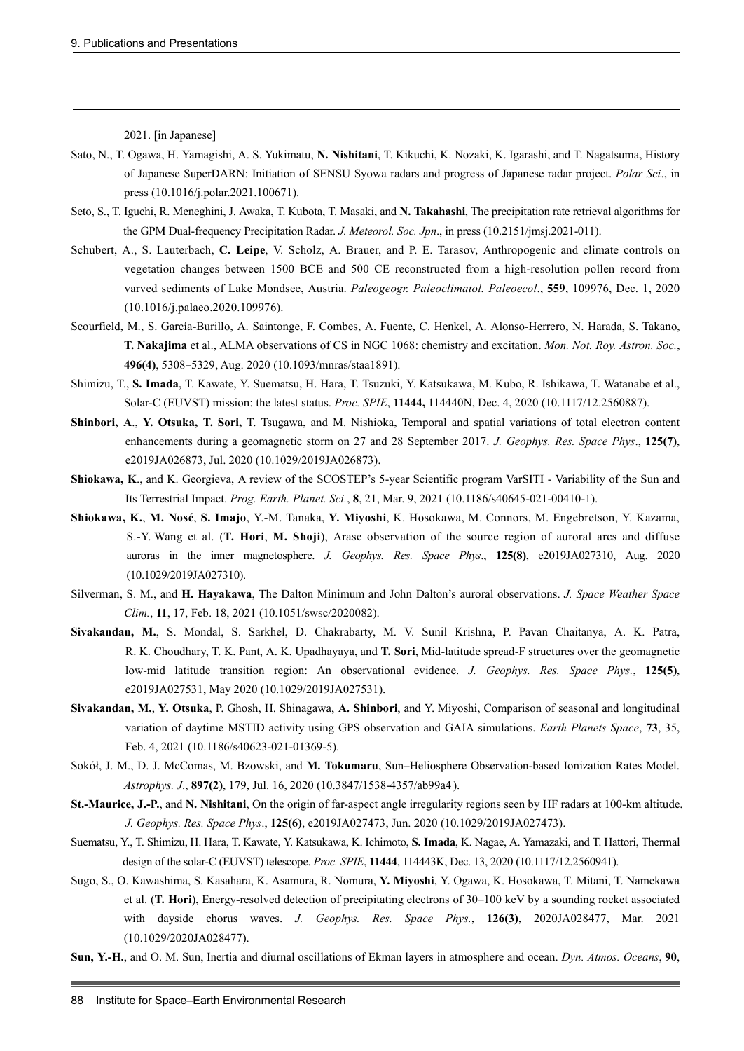2021. [in Japanese]

- Sato, N., T. Ogawa, H. Yamagishi, A. S. Yukimatu, **N. Nishitani**, T. Kikuchi, K. Nozaki, K. Igarashi, and T. Nagatsuma, History of Japanese SuperDARN: Initiation of SENSU Syowa radars and progress of Japanese radar project. *Polar Sci*., in press (10.1016/j.polar.2021.100671).
- Seto, S., T. Iguchi, R. Meneghini, J. Awaka, T. Kubota, T. Masaki, and **N. Takahashi**, The precipitation rate retrieval algorithms for the GPM Dual-frequency Precipitation Radar. *J. Meteorol. Soc. Jpn*., in press (10.2151/jmsj.2021-011).
- Schubert, A., S. Lauterbach, **C. Leipe**, V. Scholz, A. Brauer, and P. E. Tarasov, Anthropogenic and climate controls on vegetation changes between 1500 BCE and 500 CE reconstructed from a high-resolution pollen record from varved sediments of Lake Mondsee, Austria. *Paleogeogr. Paleoclimatol. Paleoecol*., **559**, 109976, Dec. 1, 2020 (10.1016/j.palaeo.2020.109976).
- Scourfield, M., S. García-Burillo, A. Saintonge, F. Combes, A. Fuente, C. Henkel, A. Alonso-Herrero, N. Harada, S. Takano, **T. Nakajima** et al., ALMA observations of CS in NGC 1068: chemistry and excitation. *Mon. Not. Roy. Astron. Soc.*, **496(4)**, 5308–5329, Aug. 2020 (10.1093/mnras/staa1891).
- Shimizu, T., **S. Imada**, T. Kawate, Y. Suematsu, H. Hara, T. Tsuzuki, Y. Katsukawa, M. Kubo, R. Ishikawa, T. Watanabe et al., Solar-C (EUVST) mission: the latest status. *Proc. SPIE*, **11444,** 114440N, Dec. 4, 2020 (10.1117/12.2560887).
- **Shinbori, A**., **Y. Otsuka, T. Sori,** T. Tsugawa, and M. Nishioka, Temporal and spatial variations of total electron content enhancements during a geomagnetic storm on 27 and 28 September 2017. *J. Geophys. Res. Space Phys*., **125(7)**, e2019JA026873, Jul. 2020 (10.1029/2019JA026873).
- **Shiokawa, K**., and K. Georgieva, A review of the SCOSTEP's 5-year Scientific program VarSITI Variability of the Sun and Its Terrestrial Impact. *Prog. Earth. Planet. Sci.*, **8**, 21, Mar. 9, 2021 (10.1186/s40645-021-00410-1).
- **Shiokawa, K.**, **M. Nosé**, **S. Imajo**, Y.-M. Tanaka, **Y. Miyoshi**, K. Hosokawa, M. Connors, M. Engebretson, Y. Kazama, S.-Y. Wang et al. (**T. Hori**, **M. Shoji**), Arase observation of the source region of auroral arcs and diffuse auroras in the inner magnetosphere. *J. Geophys. Res. Space Phys*., **125(8)**, e2019JA027310, Aug. 2020 (10.1029/2019JA027310).
- Silverman, S. M., and **H. Hayakawa**, The Dalton Minimum and John Dalton's auroral observations. *J. Space Weather Space Clim.*, **11**, 17, Feb. 18, 2021 (10.1051/swsc/2020082).
- **Sivakandan, M.**, S. Mondal, S. Sarkhel, D. Chakrabarty, M. V. Sunil Krishna, P. Pavan Chaitanya, A. K. Patra, R. K. Choudhary, T. K. Pant, A. K. Upadhayaya, and **T. Sori**, Mid-latitude spread-F structures over the geomagnetic low-mid latitude transition region: An observational evidence. *J. Geophys. Res. Space Phys.*, **125(5)**, e2019JA027531, May 2020 (10.1029/2019JA027531).
- **Sivakandan, M.**, **Y. Otsuka**, P. Ghosh, H. Shinagawa, **A. Shinbori**, and Y. Miyoshi, Comparison of seasonal and longitudinal variation of daytime MSTID activity using GPS observation and GAIA simulations. *Earth Planets Space*, **73**, 35, Feb. 4, 2021 (10.1186/s40623-021-01369-5).
- Sokół, J. M., D. J. McComas, M. Bzowski, and **M. Tokumaru**, Sun–Heliosphere Observation-based Ionization Rates Model. *Astrophys. J*., **897(2)**, 179, Jul. 16, 2020 (10.3847/1538-4357/ab99a4 ).
- **St.-Maurice, J.-P.**, and **N. Nishitani**, On the origin of far-aspect angle irregularity regions seen by HF radars at 100-km altitude. *J. Geophys. Res. Space Phys*., **125(6)**, e2019JA027473, Jun. 2020 (10.1029/2019JA027473).
- Suematsu, Y., T. Shimizu, H. Hara, T. Kawate, Y. Katsukawa, K. Ichimoto, **S. Imada**, K. Nagae, A. Yamazaki, and T. Hattori, Thermal design of the solar-C (EUVST) telescope. *Proc. SPIE*, **11444**, 114443K, Dec. 13, 2020 (10.1117/12.2560941).
- Sugo, S., O. Kawashima, S. Kasahara, K. Asamura, R. Nomura, **Y. Miyoshi**, Y. Ogawa, K. Hosokawa, T. Mitani, T. Namekawa et al. (**T. Hori**), Energy-resolved detection of precipitating electrons of 30–100 keV by a sounding rocket associated with dayside chorus waves. *J. Geophys. Res. Space Phys.*, **126(3)**, 2020JA028477, Mar. 2021 (10.1029/2020JA028477).
- **Sun, Y.-H.**, and O. M. Sun, Inertia and diurnal oscillations of Ekman layers in atmosphere and ocean. *Dyn. Atmos. Oceans*, **90**,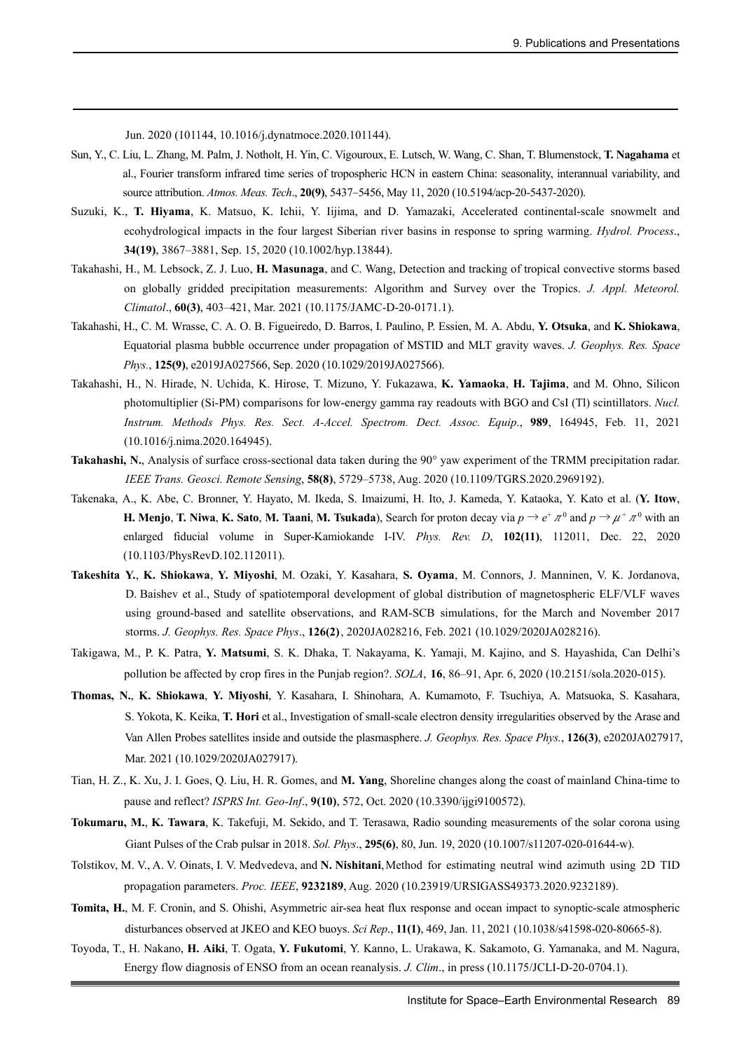Jun. 2020 (101144, 10.1016/j.dynatmoce.2020.101144).

- Sun, Y., C. Liu, L. Zhang, M. Palm, J. Notholt, H. Yin, C. Vigouroux, E. Lutsch, W. Wang, C. Shan, T. Blumenstock, **T. Nagahama** et al., Fourier transform infrared time series of tropospheric HCN in eastern China: seasonality, interannual variability, and source attribution. *Atmos. Meas. Tech*., **20(9)**, 5437–5456, May 11, 2020 (10.5194/acp-20-5437-2020).
- Suzuki, K., **T. Hiyama**, K. Matsuo, K. Ichii, Y. Iijima, and D. Yamazaki, Accelerated continental-scale snowmelt and ecohydrological impacts in the four largest Siberian river basins in response to spring warming. *Hydrol. Process*., **34(19)**, 3867–3881, Sep. 15, 2020 (10.1002/hyp.13844).
- Takahashi, H., M. Lebsock, Z. J. Luo, **H. Masunaga**, and C. Wang, Detection and tracking of tropical convective storms based on globally gridded precipitation measurements: Algorithm and Survey over the Tropics. *J. Appl. Meteorol. Climatol*., **60(3)**, 403–421, Mar. 2021 (10.1175/JAMC-D-20-0171.1).
- Takahashi, H., C. M. Wrasse, C. A. O. B. Figueiredo, D. Barros, I. Paulino, P. Essien, M. A. Abdu, **Y. Otsuka**, and **K. Shiokawa**, Equatorial plasma bubble occurrence under propagation of MSTID and MLT gravity waves. *J. Geophys. Res. Space Phys.*, **125(9)**, e2019JA027566, Sep. 2020 (10.1029/2019JA027566).
- Takahashi, H., N. Hirade, N. Uchida, K. Hirose, T. Mizuno, Y. Fukazawa, **K. Yamaoka**, **H. Tajima**, and M. Ohno, Silicon photomultiplier (Si-PM) comparisons for low-energy gamma ray readouts with BGO and CsI (Tl) scintillators. *Nucl. Instrum. Methods Phys. Res. Sect. A-Accel. Spectrom. Dect. Assoc. Equip*., **989**, 164945, Feb. 11, 2021 (10.1016/j.nima.2020.164945).
- **Takahashi, N.**, Analysis of surface cross-sectional data taken during the 90° yaw experiment of the TRMM precipitation radar. *IEEE Trans. Geosci. Remote Sensing*, **58(8)**, 5729–5738, Aug. 2020 (10.1109/TGRS.2020.2969192).
- Takenaka, A., K. Abe, C. Bronner, Y. Hayato, M. Ikeda, S. Imaizumi, H. Ito, J. Kameda, Y. Kataoka, Y. Kato et al. (**Y. Itow**, **H. Menjo**, **T.** Niwa, **K.** Sato, **M.** Taani, **M.** Tsukada), Search for proton decay via  $p \to e^+ \pi^0$  and  $p \to \mu^+ \pi^0$  with an enlarged fiducial volume in Super-Kamiokande I-IV. *Phys. Rev. D*, **102(11)**, 112011, Dec. 22, 2020 (10.1103/PhysRevD.102.112011).
- **Takeshita Y.**, **K. Shiokawa**, **Y. Miyoshi**, M. Ozaki, Y. Kasahara, **S. Oyama**, M. Connors, J. Manninen, V. K. Jordanova, D. Baishev et al., Study of spatiotemporal development of global distribution of magnetospheric ELF/VLF waves using ground-based and satellite observations, and RAM-SCB simulations, for the March and November 2017 storms. *J. Geophys. Res. Space Phys*., **126(2)**, 2020JA028216, Feb. 2021 (10.1029/2020JA028216).
- Takigawa, M., P. K. Patra, **Y. Matsumi**, S. K. Dhaka, T. Nakayama, K. Yamaji, M. Kajino, and S. Hayashida, Can Delhi's pollution be affected by crop fires in the Punjab region?. *SOLA*, **16**, 86–91, Apr. 6, 2020 (10.2151/sola.2020-015).
- **Thomas, N.**, **K. Shiokawa**, **Y. Miyoshi**, Y. Kasahara, I. Shinohara, A. Kumamoto, F. Tsuchiya, A. Matsuoka, S. Kasahara, S. Yokota, K. Keika, **T. Hori** et al., Investigation of small-scale electron density irregularities observed by the Arase and Van Allen Probes satellites inside and outside the plasmasphere. *J. Geophys. Res. Space Phys.*, **126(3)**, e2020JA027917, Mar. 2021 (10.1029/2020JA027917).
- Tian, H. Z., K. Xu, J. I. Goes, Q. Liu, H. R. Gomes, and **M. Yang**, Shoreline changes along the coast of mainland China-time to pause and reflect? *ISPRS Int. Geo-Inf*., **9(10)**, 572, Oct. 2020 (10.3390/ijgi9100572).
- **Tokumaru, M.**, **K. Tawara**, K. Takefuji, M. Sekido, and T. Terasawa, Radio sounding measurements of the solar corona using Giant Pulses of the Crab pulsar in 2018. *Sol. Phys*., **295(6)**, 80, Jun. 19, 2020 (10.1007/s11207-020-01644-w).
- Tolstikov, M. V., A. V. Oinats, I. V. Medvedeva, and N. Nishitani, Method for estimating neutral wind azimuth using 2D TID propagation parameters. *Proc. IEEE*, **9232189**, Aug. 2020 (10.23919/URSIGASS49373.2020.9232189).
- **Tomita, H.**, M. F. Cronin, and S. Ohishi, Asymmetric air-sea heat flux response and ocean impact to synoptic-scale atmospheric disturbances observed at JKEO and KEO buoys. *Sci Rep*., **11(1)**, 469, Jan. 11, 2021 (10.1038/s41598-020-80665-8).
- Toyoda, T., H. Nakano, **H. Aiki**, T. Ogata, **Y. Fukutomi**, Y. Kanno, L. Urakawa, K. Sakamoto, G. Yamanaka, and M. Nagura, Energy flow diagnosis of ENSO from an ocean reanalysis. *J. Clim*., in press (10.1175/JCLI-D-20-0704.1).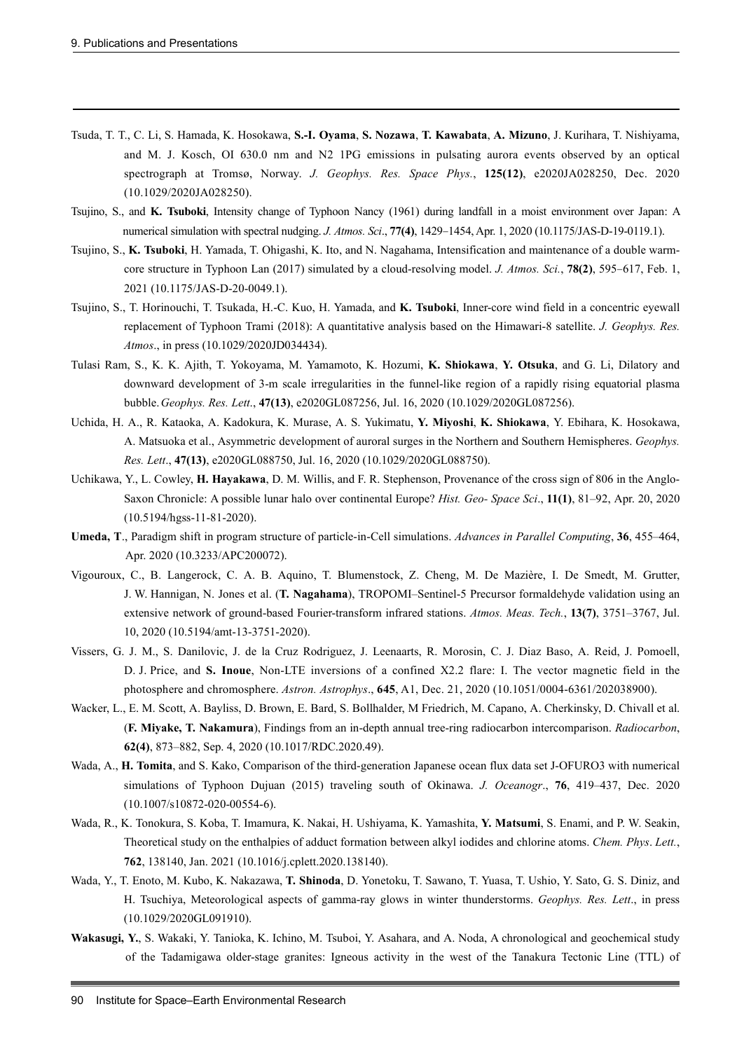- Tsuda, T. T., C. Li, S. Hamada, K. Hosokawa, **S.-I. Oyama**, **S. Nozawa**, **T. Kawabata**, **A. Mizuno**, J. Kurihara, T. Nishiyama, and M. J. Kosch, OI 630.0 nm and N2 1PG emissions in pulsating aurora events observed by an optical spectrograph at Tromsø, Norway. *J. Geophys. Res. Space Phys.*, **125(12)**, e2020JA028250, Dec. 2020 (10.1029/2020JA028250).
- Tsujino, S., and **K. Tsuboki**, Intensity change of Typhoon Nancy (1961) during landfall in a moist environment over Japan: A numerical simulation with spectral nudging. *J. Atmos. Sci*., **77(4)**, 1429–1454, Apr. 1, 2020 (10.1175/JAS-D-19-0119.1).
- Tsujino, S., **K. Tsuboki**, H. Yamada, T. Ohigashi, K. Ito, and N. Nagahama, Intensification and maintenance of a double warmcore structure in Typhoon Lan (2017) simulated by a cloud-resolving model. *J. Atmos. Sci.*, **78(2)**, 595–617, Feb. 1, 2021 (10.1175/JAS-D-20-0049.1).
- Tsujino, S., T. Horinouchi, T. Tsukada, H.-C. Kuo, H. Yamada, and **K. Tsuboki**, Inner-core wind field in a concentric eyewall replacement of Typhoon Trami (2018): A quantitative analysis based on the Himawari-8 satellite. *J. Geophys. Res. Atmos*., in press (10.1029/2020JD034434).
- Tulasi Ram, S., K. K. Ajith, T. Yokoyama, M. Yamamoto, K. Hozumi, **K. Shiokawa**, **Y. Otsuka**, and G. Li, Dilatory and downward development of 3-m scale irregularities in the funnel-like region of a rapidly rising equatorial plasma bubble.*Geophys. Res. Lett*., **47(13)**, e2020GL087256, Jul. 16, 2020 (10.1029/2020GL087256).
- Uchida, H. A., R. Kataoka, A. Kadokura, K. Murase, A. S. Yukimatu, **Y. Miyoshi**, **K. Shiokawa**, Y. Ebihara, K. Hosokawa, A. Matsuoka et al., Asymmetric development of auroral surges in the Northern and Southern Hemispheres. *Geophys. Res. Lett*., **47(13)**, e2020GL088750, Jul. 16, 2020 (10.1029/2020GL088750).
- Uchikawa, Y., L. Cowley, **H. Hayakawa**, D. M. Willis, and F. R. Stephenson, Provenance of the cross sign of 806 in the Anglo-Saxon Chronicle: A possible lunar halo over continental Europe? *Hist. Geo- Space Sci*., **11(1)**, 81–92, Apr. 20, 2020 (10.5194/hgss-11-81-2020).
- **Umeda, T**., Paradigm shift in program structure of particle-in-Cell simulations. *Advances in Parallel Computing*, **36**, 455–464, Apr. 2020 (10.3233/APC200072).
- Vigouroux, C., B. Langerock, C. A. B. Aquino, T. Blumenstock, Z. Cheng, M. De Mazière, I. De Smedt, M. Grutter, J. W. Hannigan, N. Jones et al. (**T. Nagahama**), TROPOMI–Sentinel-5 Precursor formaldehyde validation using an extensive network of ground-based Fourier-transform infrared stations. *Atmos. Meas. Tech.*, **13(7)**, 3751–3767, Jul. 10, 2020 (10.5194/amt-13-3751-2020).
- Vissers, G. J. M., S. Danilovic, J. de la Cruz Rodriguez, J. Leenaarts, R. Morosin, C. J. Diaz Baso, A. Reid, J. Pomoell, D. J. Price, and **S. Inoue**, Non-LTE inversions of a confined X2.2 flare: I. The vector magnetic field in the photosphere and chromosphere. *Astron. Astrophys*., **645**, A1, Dec. 21, 2020 (10.1051/0004-6361/202038900).
- Wacker, L., E. M. Scott, A. Bayliss, D. Brown, E. Bard, S. Bollhalder, M Friedrich, M. Capano, A. Cherkinsky, D. Chivall et al. (**F. Miyake, T. Nakamura**), Findings from an in-depth annual tree-ring radiocarbon intercomparison. *Radiocarbon*, **62(4)**, 873–882, Sep. 4, 2020 (10.1017/RDC.2020.49).
- Wada, A., **H. Tomita**, and S. Kako, Comparison of the third-generation Japanese ocean flux data set J-OFURO3 with numerical simulations of Typhoon Dujuan (2015) traveling south of Okinawa. *J. Oceanogr*., **76**, 419–437, Dec. 2020 (10.1007/s10872-020-00554-6).
- Wada, R., K. Tonokura, S. Koba, T. Imamura, K. Nakai, H. Ushiyama, K. Yamashita, **Y. Matsumi**, S. Enami, and P. W. Seakin, Theoretical study on the enthalpies of adduct formation between alkyl iodides and chlorine atoms. *Chem. Phys*. *Lett.*, **762**, 138140, Jan. 2021 (10.1016/j.cplett.2020.138140).
- Wada, Y., T. Enoto, M. Kubo, K. Nakazawa, **T. Shinoda**, D. Yonetoku, T. Sawano, T. Yuasa, T. Ushio, Y. Sato, G. S. Diniz, and H. Tsuchiya, Meteorological aspects of gamma-ray glows in winter thunderstorms. *Geophys. Res. Lett*., in press (10.1029/2020GL091910).
- **Wakasugi, Y.**, S. Wakaki, Y. Tanioka, K. Ichino, M. Tsuboi, Y. Asahara, and A. Noda, A chronological and geochemical study of the Tadamigawa older-stage granites: Igneous activity in the west of the Tanakura Tectonic Line (TTL) of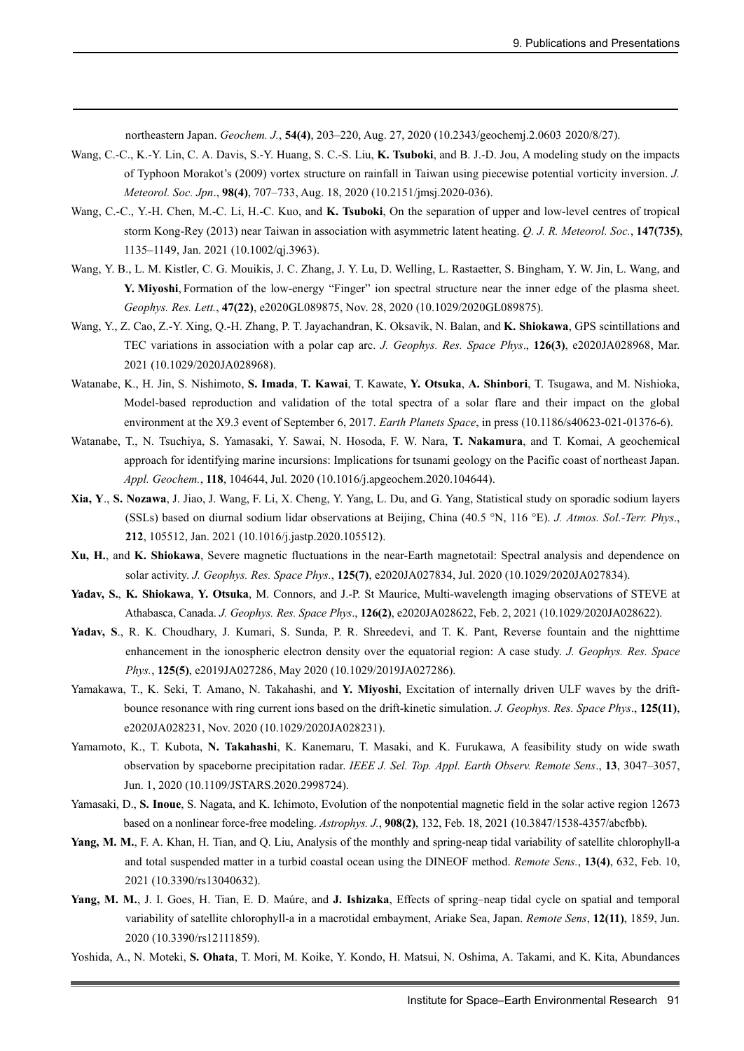northeastern Japan. *Geochem. J.*, **54(4)**, 203–220, Aug. 27, 2020 (10.2343/geochemj.2.0603 2020/8/27).

- Wang, C.-C., K.-Y. Lin, C. A. Davis, S.-Y. Huang, S. C.-S. Liu, **K. Tsuboki**, and B. J.-D. Jou, A modeling study on the impacts of Typhoon Morakot's (2009) vortex structure on rainfall in Taiwan using piecewise potential vorticity inversion. *J. Meteorol. Soc. Jpn*., **98(4)**, 707–733, Aug. 18, 2020 (10.2151/jmsj.2020-036).
- Wang, C.-C., Y.-H. Chen, M.-C. Li, H.-C. Kuo, and **K. Tsuboki**, On the separation of upper and low-level centres of tropical storm Kong-Rey (2013) near Taiwan in association with asymmetric latent heating. *Q. J. R. Meteorol. Soc.*, **147(735)**, 1135–1149, Jan. 2021 (10.1002/qj.3963).
- Wang, Y. B., L. M. Kistler, C. G. Mouikis, J. C. Zhang, J. Y. Lu, D. Welling, L. Rastaetter, S. Bingham, Y. W. Jin, L. Wang, and **Y. Miyoshi**, Formation of the low-energy "Finger" ion spectral structure near the inner edge of the plasma sheet. *Geophys. Res. Lett.*, **47(22)**, e2020GL089875, Nov. 28, 2020 (10.1029/2020GL089875).
- Wang, Y., Z. Cao, Z.-Y. Xing, Q.-H. Zhang, P. T. Jayachandran, K. Oksavik, N. Balan, and **K. Shiokawa**, GPS scintillations and TEC variations in association with a polar cap arc. *J. Geophys. Res. Space Phys*., **126(3)**, e2020JA028968, Mar. 2021 (10.1029/2020JA028968).
- Watanabe, K., H. Jin, S. Nishimoto, **S. Imada**, **T. Kawai**, T. Kawate, **Y. Otsuka**, **A. Shinbori**, T. Tsugawa, and M. Nishioka, Model-based reproduction and validation of the total spectra of a solar flare and their impact on the global environment at the X9.3 event of September 6, 2017. *Earth Planets Space*, in press (10.1186/s40623-021-01376-6).
- Watanabe, T., N. Tsuchiya, S. Yamasaki, Y. Sawai, N. Hosoda, F. W. Nara, **T. Nakamura**, and T. Komai, A geochemical approach for identifying marine incursions: Implications for tsunami geology on the Pacific coast of northeast Japan. *Appl. Geochem.*, **118**, 104644, Jul. 2020 (10.1016/j.apgeochem.2020.104644).
- **Xia, Y**., **S. Nozawa**, J. Jiao, J. Wang, F. Li, X. Cheng, Y. Yang, L. Du, and G. Yang, Statistical study on sporadic sodium layers (SSLs) based on diurnal sodium lidar observations at Beijing, China (40.5 °N, 116 °E). *J. Atmos. Sol.-Terr. Phys*., **212**, 105512, Jan. 2021 (10.1016/j.jastp.2020.105512).
- **Xu, H.**, and **K. Shiokawa**, Severe magnetic fluctuations in the near-Earth magnetotail: Spectral analysis and dependence on solar activity. *J. Geophys. Res. Space Phys.*, **125(7)**, e2020JA027834, Jul. 2020 (10.1029/2020JA027834).
- **Yadav, S.**, **K. Shiokawa**, **Y. Otsuka**, M. Connors, and J.-P. St Maurice, Multi-wavelength imaging observations of STEVE at Athabasca, Canada. *J. Geophys. Res. Space Phys*., **126(2)**, e2020JA028622, Feb. 2, 2021 (10.1029/2020JA028622).
- **Yadav, S**., R. K. Choudhary, J. Kumari, S. Sunda, P. R. Shreedevi, and T. K. Pant, Reverse fountain and the nighttime enhancement in the ionospheric electron density over the equatorial region: A case study. *J. Geophys. Res. Space Phys.*, **125(5)**, e2019JA027286, May 2020 (10.1029/2019JA027286).
- Yamakawa, T., K. Seki, T. Amano, N. Takahashi, and **Y. Miyoshi**, Excitation of internally driven ULF waves by the driftbounce resonance with ring current ions based on the drift-kinetic simulation. *J. Geophys. Res. Space Phys*., **125(11)**, e2020JA028231, Nov. 2020 (10.1029/2020JA028231).
- Yamamoto, K., T. Kubota, **N. Takahashi**, K. Kanemaru, T. Masaki, and K. Furukawa, A feasibility study on wide swath observation by spaceborne precipitation radar. *IEEE J. Sel. Top. Appl. Earth Observ. Remote Sens*., **13**, 3047–3057, Jun. 1, 2020 (10.1109/JSTARS.2020.2998724).
- Yamasaki, D., **S. Inoue**, S. Nagata, and K. Ichimoto, Evolution of the nonpotential magnetic field in the solar active region 12673 based on a nonlinear force-free modeling. *Astrophys. J.*, **908(2)**, 132, Feb. 18, 2021 (10.3847/1538-4357/abcfbb).
- **Yang, M. M.**, F. A. Khan, H. Tian, and Q. Liu, Analysis of the monthly and spring-neap tidal variability of satellite chlorophyll-a and total suspended matter in a turbid coastal ocean using the DINEOF method. *Remote Sens.*, **13(4)**, 632, Feb. 10, 2021 (10.3390/rs13040632).
- **Yang, M. M.**, J. I. Goes, H. Tian, E. D. Maúre, and **J. Ishizaka**, Effects of spring–neap tidal cycle on spatial and temporal variability of satellite chlorophyll-a in a macrotidal embayment, Ariake Sea, Japan. *Remote Sens*, **12(11)**, 1859, Jun. 2020 (10.3390/rs12111859).
- Yoshida, A., N. Moteki, **S. Ohata**, T. Mori, M. Koike, Y. Kondo, H. Matsui, N. Oshima, A. Takami, and K. Kita, Abundances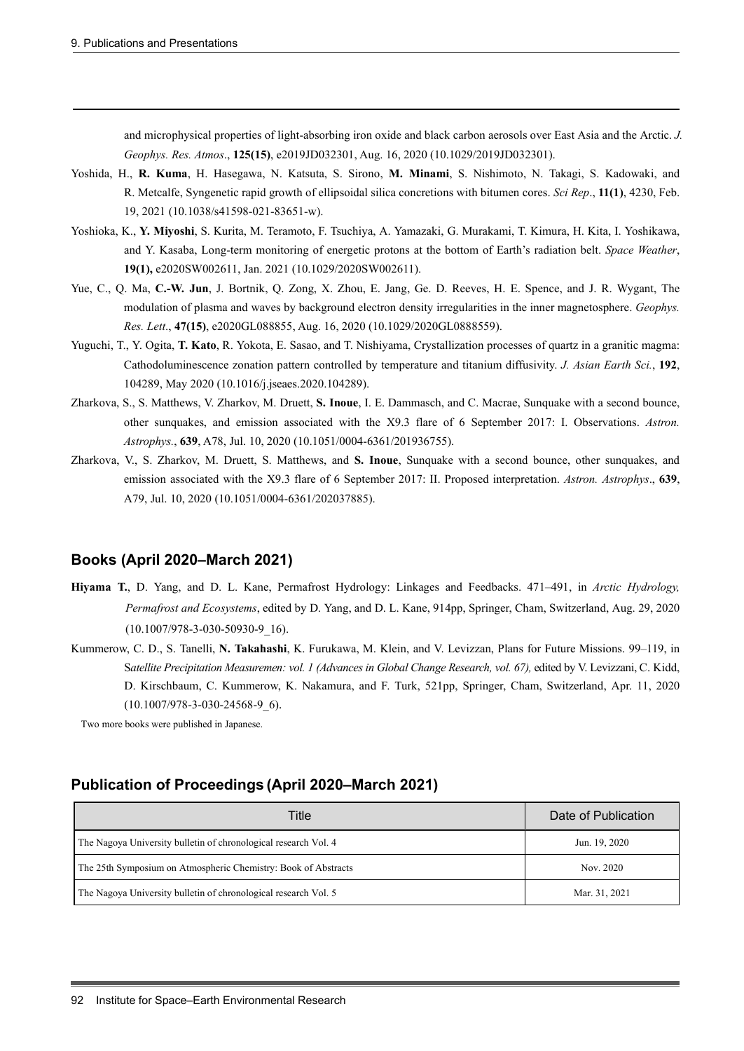and microphysical properties of light-absorbing iron oxide and black carbon aerosols over East Asia and the Arctic. *J. Geophys. Res. Atmos*., **125(15)**, e2019JD032301, Aug. 16, 2020 (10.1029/2019JD032301).

- Yoshida, H., **R. Kuma**, H. Hasegawa, N. Katsuta, S. Sirono, **M. Minami**, S. Nishimoto, N. Takagi, S. Kadowaki, and R. Metcalfe, Syngenetic rapid growth of ellipsoidal silica concretions with bitumen cores. *Sci Rep*., **11(1)**, 4230, Feb. 19, 2021 (10.1038/s41598-021-83651-w).
- Yoshioka, K., **Y. Miyoshi**, S. Kurita, M. Teramoto, F. Tsuchiya, A. Yamazaki, G. Murakami, T. Kimura, H. Kita, I. Yoshikawa, and Y. Kasaba, Long-term monitoring of energetic protons at the bottom of Earth's radiation belt. *Space Weather*, **19(1),** e2020SW002611, Jan. 2021 (10.1029/2020SW002611).
- Yue, C., Q. Ma, **C.-W. Jun**, J. Bortnik, Q. Zong, X. Zhou, E. Jang, Ge. D. Reeves, H. E. Spence, and J. R. Wygant, The modulation of plasma and waves by background electron density irregularities in the inner magnetosphere. *Geophys. Res. Lett*., **47(15)**, e2020GL088855, Aug. 16, 2020 (10.1029/2020GL0888559).
- Yuguchi, T., Y. Ogita, **T. Kato**, R. Yokota, E. Sasao, and T. Nishiyama, Crystallization processes of quartz in a granitic magma: Cathodoluminescence zonation pattern controlled by temperature and titanium diffusivity. *J. Asian Earth Sci.*, **192**, 104289, May 2020 (10.1016/j.jseaes.2020.104289).
- Zharkova, S., S. Matthews, V. Zharkov, M. Druett, **S. Inoue**, I. E. Dammasch, and C. Macrae, Sunquake with a second bounce, other sunquakes, and emission associated with the X9.3 flare of 6 September 2017: I. Observations. *Astron. Astrophys.*, **639**, A78, Jul. 10, 2020 (10.1051/0004-6361/201936755).
- Zharkova, V., S. Zharkov, M. Druett, S. Matthews, and **S. Inoue**, Sunquake with a second bounce, other sunquakes, and emission associated with the X9.3 flare of 6 September 2017: II. Proposed interpretation. *Astron. Astrophys*., **639**, A79, Jul. 10, 2020 (10.1051/0004-6361/202037885).

#### **Books (April 2020–March 2021)**

- **Hiyama T.**, D. Yang, and D. L. Kane, Permafrost Hydrology: Linkages and Feedbacks. 471–491, in *Arctic Hydrology, Permafrost and Ecosystems*, edited by D. Yang, and D. L. Kane, 914pp, Springer, Cham, Switzerland, Aug. 29, 2020 (10.1007/978-3-030-50930-9\_16).
- Kummerow, C. D., S. Tanelli, **N. Takahashi**, K. Furukawa, M. Klein, and V. Levizzan, Plans for Future Missions. 99–119, in S*atellite Precipitation Measuremen: vol. 1 (Advances in Global Change Research, vol. 67),* edited by V. Levizzani, C. Kidd, D. Kirschbaum, C. Kummerow, K. Nakamura, and F. Turk, 521pp, Springer, Cham, Switzerland, Apr. 11, 2020 (10.1007/978-3-030-24568-9\_6).

Two more books were published in Japanese.

#### **Publication of Proceedings (April 2020–March 2021)**

| Title                                                           | Date of Publication |
|-----------------------------------------------------------------|---------------------|
| The Nagoya University bulletin of chronological research Vol. 4 | Jun. 19, 2020       |
| The 25th Symposium on Atmospheric Chemistry: Book of Abstracts  | Nov. 2020           |
| The Nagoya University bulletin of chronological research Vol. 5 | Mar. 31, 2021       |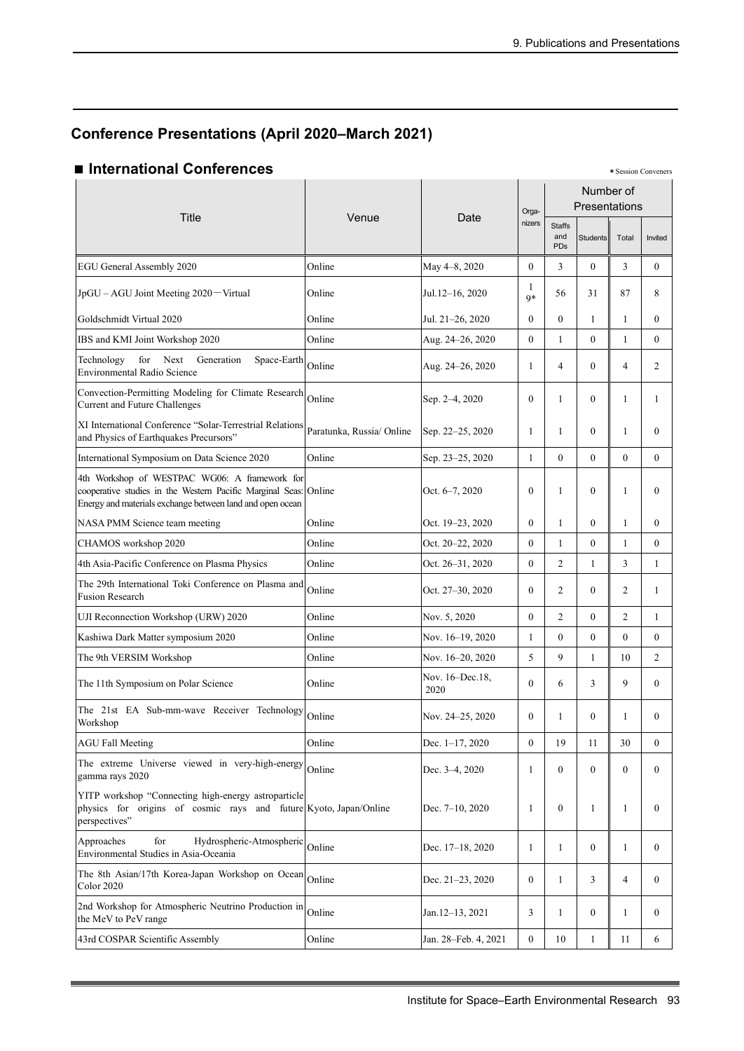## **Conference Presentations (April 2020–March 2021)**

#### ■ International Conferences

| Title                                                                                                                                                                          | Venue                     |                         | Orga-            | Number of<br>Presentations  |                 |                |                  |
|--------------------------------------------------------------------------------------------------------------------------------------------------------------------------------|---------------------------|-------------------------|------------------|-----------------------------|-----------------|----------------|------------------|
|                                                                                                                                                                                | Date                      |                         | nizers           | <b>Staffs</b><br>and<br>PDs | <b>Students</b> | Total          | Invited          |
| EGU General Assembly 2020                                                                                                                                                      | Online                    | May 4-8, 2020           | $\overline{0}$   | 3                           | $\overline{0}$  | 3              | $\mathbf{0}$     |
| JpGU - AGU Joint Meeting 2020 - Virtual                                                                                                                                        | Online                    | Jul.12-16, 2020         | 1<br>$Q*$        | 56                          | 31              | 87             | 8                |
| Goldschmidt Virtual 2020                                                                                                                                                       | Online                    | Jul. 21-26, 2020        | $\mathbf{0}$     | $\theta$                    | $\mathbf{1}$    | $\mathbf{1}$   | $\theta$         |
| IBS and KMI Joint Workshop 2020                                                                                                                                                | Online                    | Aug. 24-26, 2020        | $\overline{0}$   | $\mathbf{1}$                | $\overline{0}$  | $\mathbf{1}$   | $\mathbf{0}$     |
| Technology<br>for<br>Next<br>Generation<br>Space-Earth<br>Environmental Radio Science                                                                                          | Online                    | Aug. 24-26, 2020        | 1                | 4                           | $\overline{0}$  | 4              | 2                |
| Convection-Permitting Modeling for Climate Research<br>Current and Future Challenges                                                                                           | Online                    | Sep. 2-4, 2020          | $\overline{0}$   | 1                           | $\theta$        | 1              | 1                |
| XI International Conference "Solar-Terrestrial Relations<br>and Physics of Earthquakes Precursors"                                                                             | Paratunka, Russia/ Online | Sep. 22-25, 2020        | 1                | 1                           | $\theta$        | $\mathbf{1}$   | $\mathbf{0}$     |
| International Symposium on Data Science 2020                                                                                                                                   | Online                    | Sep. 23-25, 2020        | $\mathbf{1}$     | $\theta$                    | $\overline{0}$  | $\mathbf{0}$   | $\mathbf{0}$     |
| 4th Workshop of WESTPAC WG06: A framework for<br>cooperative studies in the Western Pacific Marginal Seas: Online<br>Energy and materials exchange between land and open ocean |                           | Oct. 6-7, 2020          | $\mathbf{0}$     | 1                           | $\overline{0}$  | 1              | $\mathbf{0}$     |
| NASA PMM Science team meeting                                                                                                                                                  | Online                    | Oct. 19-23, 2020        | $\overline{0}$   | $\mathbf{1}$                | $\overline{0}$  | $\mathbf{1}$   | $\mathbf{0}$     |
| CHAMOS workshop 2020                                                                                                                                                           | Online                    | Oct. 20-22, 2020        | $\theta$         | $\mathbf{1}$                | $\overline{0}$  | $\mathbf{1}$   | $\theta$         |
| 4th Asia-Pacific Conference on Plasma Physics                                                                                                                                  | Online                    | Oct. 26–31, 2020        | $\overline{0}$   | 2                           | 1               | 3              | 1                |
| The 29th International Toki Conference on Plasma and<br><b>Fusion Research</b>                                                                                                 | Online                    | Oct. 27–30, 2020        | $\overline{0}$   | 2                           | $\overline{0}$  | 2              | $\mathbf{1}$     |
| UJI Reconnection Workshop (URW) 2020                                                                                                                                           | Online                    | Nov. 5, 2020            | $\overline{0}$   | 2                           | $\overline{0}$  | $\overline{2}$ | 1                |
| Kashiwa Dark Matter symposium 2020                                                                                                                                             | Online                    | Nov. 16–19, 2020        | 1                | $\Omega$                    | $\mathbf{0}$    | $\mathbf{0}$   | $\mathbf{0}$     |
| The 9th VERSIM Workshop                                                                                                                                                        | Online                    | Nov. 16-20, 2020        | 5                | 9                           | $\mathbf{1}$    | 10             | 2                |
| The 11th Symposium on Polar Science                                                                                                                                            | Online                    | Nov. 16-Dec.18,<br>2020 | $\overline{0}$   | 6                           | 3               | 9              | $\boldsymbol{0}$ |
| The 21st EA Sub-mm-wave Receiver Technology<br>Workshop                                                                                                                        | Online                    | Nov. 24–25, 2020        | $\mathbf{0}$     | $\mathbf{1}$                | $\theta$        | $\mathbf{1}$   | $\theta$         |
| <b>AGU Fall Meeting</b>                                                                                                                                                        | Online                    | Dec. 1-17, 2020         | $\boldsymbol{0}$ | 19                          | 11              | 30             | $\boldsymbol{0}$ |
| The extreme Universe viewed in very-high-energy<br>gamma rays 2020                                                                                                             | Online                    | Dec. 3–4, 2020          | $\mathbf{1}$     | $\Omega$                    | $\overline{0}$  | $\mathbf{0}$   | $\overline{0}$   |
| YITP workshop "Connecting high-energy astroparticle<br>physics for origins of cosmic rays and future Kyoto, Japan/Online<br>perspectives"                                      |                           | Dec. 7-10, 2020         | 1                | $\overline{0}$              | 1               | 1              | $\mathbf{0}$     |
| Approaches<br>for<br>Hydrospheric-Atmospheric<br>Environmental Studies in Asia-Oceania                                                                                         | Online                    | Dec. 17-18, 2020        | $\mathbf{1}$     | 1                           | $\overline{0}$  | 1              | $\mathbf{0}$     |
| The 8th Asian/17th Korea-Japan Workshop on Ocean<br><b>Color 2020</b>                                                                                                          | Online                    | Dec. 21–23, 2020        | $\boldsymbol{0}$ | $\mathbf{1}$                | 3               | 4              | $\mathbf{0}$     |
| 2nd Workshop for Atmospheric Neutrino Production in<br>the MeV to PeV range                                                                                                    | Online                    | Jan.12-13, 2021         | 3                | 1                           | $\overline{0}$  | 1              | $\mathbf{0}$     |
| 43rd COSPAR Scientific Assembly                                                                                                                                                | Online                    | Jan. 28-Feb. 4, 2021    | $\boldsymbol{0}$ | 10                          | $\mathbf{1}$    | 11             | 6                |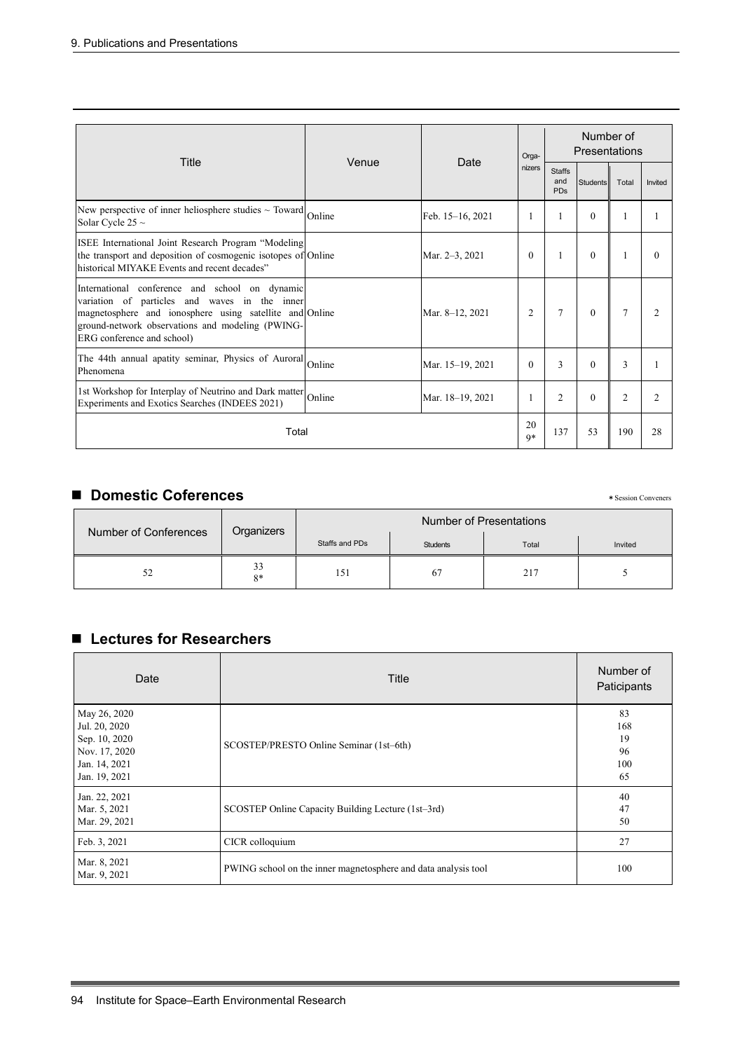|                                                                                                                                                                                                                                              |        |                  | Orga-      | Number of<br>Presentations         |                 |                |                |
|----------------------------------------------------------------------------------------------------------------------------------------------------------------------------------------------------------------------------------------------|--------|------------------|------------|------------------------------------|-----------------|----------------|----------------|
| Title                                                                                                                                                                                                                                        | Venue  | Date             | nizers     | <b>Staffs</b><br>and<br><b>PDs</b> | <b>Students</b> | Total          | Invited        |
| New perspective of inner heliosphere studies $\sim$ Toward<br>Solar Cycle 25 $\sim$                                                                                                                                                          | Online | Feb. 15-16, 2021 |            |                                    | $\theta$        | 1              | 1              |
| ISEE International Joint Research Program "Modeling<br>the transport and deposition of cosmogenic isotopes of Online<br>historical MIYAKE Events and recent decades"                                                                         |        | Mar. 2–3, 2021   | $\theta$   |                                    | $\theta$        | 1              | $\theta$       |
| International conference and school on dynamic<br>variation of particles and waves in the inner<br>magnetosphere and ionosphere using satellite and Online<br>ground-network observations and modeling (PWING-<br>ERG conference and school) |        | Mar. 8-12, 2021  | 2          | $\tau$                             | $\theta$        | $\overline{7}$ | $\overline{2}$ |
| The 44th annual apatity seminar, Physics of Auroral Online<br>Phenomena                                                                                                                                                                      |        | Mar. 15-19, 2021 | $\Omega$   | 3                                  | $\theta$        | 3              | 1              |
| 1st Workshop for Interplay of Neutrino and Dark matter<br>Experiments and Exotics Searches (INDEES 2021)                                                                                                                                     | Online | Mar. 18-19, 2021 |            | 2                                  | $\theta$        | $\overline{2}$ | $\overline{2}$ |
| Total                                                                                                                                                                                                                                        |        |                  | 20<br>$Q*$ | 137                                | 53              | 190            | 28             |

## ■ **Domestic Coferences** \* Session Conveners

|                       |            | Number of Presentations |                 |       |         |
|-----------------------|------------|-------------------------|-----------------|-------|---------|
| Number of Conferences | Organizers | Staffs and PDs          | <b>Students</b> | Total | Invited |
|                       | 33<br>$8*$ | 151                     | 67              | 217   |         |

## ■ Lectures for Researchers

| Date                                                                                              | Title                                                          | Number of<br>Paticipants           |
|---------------------------------------------------------------------------------------------------|----------------------------------------------------------------|------------------------------------|
| May 26, 2020<br>Jul. 20, 2020<br>Sep. 10, 2020<br>Nov. 17, 2020<br>Jan. 14, 2021<br>Jan. 19, 2021 | SCOSTEP/PRESTO Online Seminar (1st-6th)                        | 83<br>168<br>19<br>96<br>100<br>65 |
| Jan. 22, 2021<br>Mar. 5, 2021<br>Mar. 29, 2021                                                    | SCOSTEP Online Capacity Building Lecture (1st-3rd)             | 40<br>47<br>50                     |
| Feb. 3, 2021                                                                                      | CICR colloquium                                                | 27                                 |
| Mar. 8, 2021<br>Mar. 9, 2021                                                                      | PWING school on the inner magnetosphere and data analysis tool | 100                                |